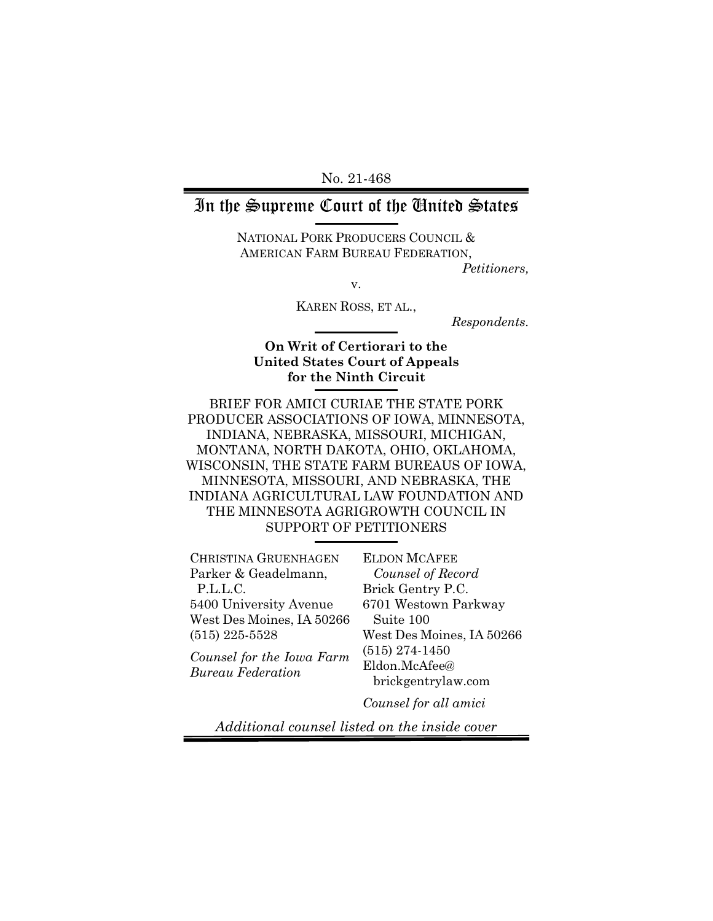No. 21-468

## In the Supreme Court of the United States

NATIONAL PORK PRODUCERS COUNCIL & AMERICAN FARM BUREAU FEDERATION,

*Petitioners,*

v.

KAREN ROSS, ET AL.,

*Respondents.*

### **On Writ of Certiorari to the United States Court of Appeals for the Ninth Circuit**

BRIEF FOR AMICI CURIAE THE STATE PORK PRODUCER ASSOCIATIONS OF IOWA, MINNESOTA, INDIANA, NEBRASKA, MISSOURI, MICHIGAN, MONTANA, NORTH DAKOTA, OHIO, OKLAHOMA, WISCONSIN, THE STATE FARM BUREAUS OF IOWA, MINNESOTA, MISSOURI, AND NEBRASKA, THE INDIANA AGRICULTURAL LAW FOUNDATION AND THE MINNESOTA AGRIGROWTH COUNCIL IN SUPPORT OF PETITIONERS

CHRISTINA GRUENHAGEN Parker & Geadelmann, P.L.L.C. 5400 University Avenue West Des Moines, IA 50266 (515) 225-5528

*Counsel for the Iowa Farm Bureau Federation*

ELDON MCAFEE *Counsel of Record* Brick Gentry P.C. 6701 Westown Parkway Suite 100 West Des Moines, IA 50266 (515) 274-1450 Eldon.McAfee@ brickgentrylaw.com

*Counsel for all amici*

*Additional counsel listed on the inside cover*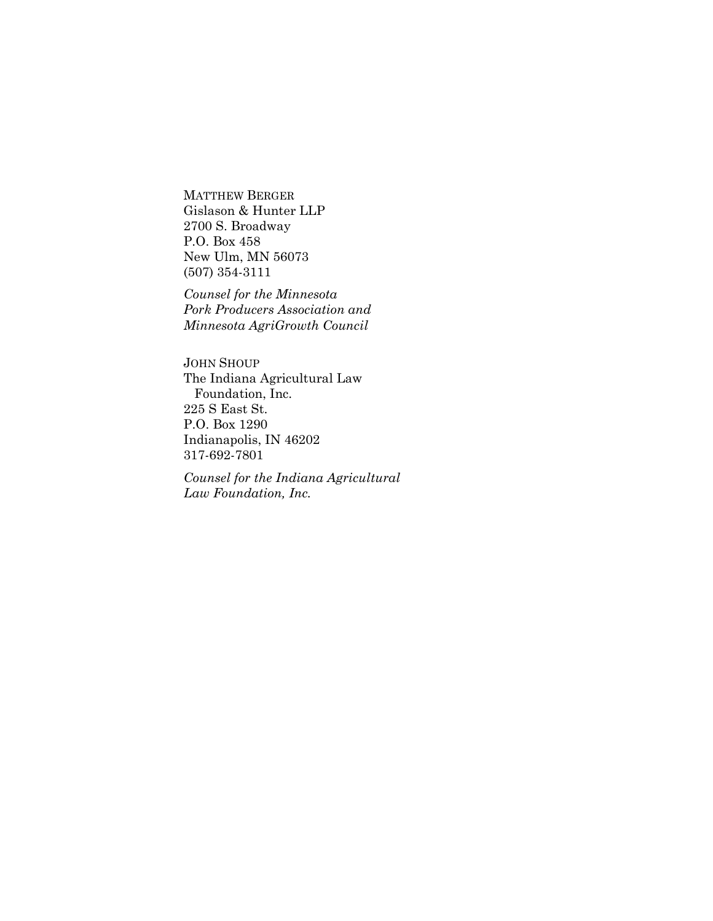MATTHEW BERGER Gislason & Hunter LLP 2700 S. Broadway P.O. Box 458 New Ulm, MN 56073 (507) 354-3111

*Counsel for the Minnesota Pork Producers Association and Minnesota AgriGrowth Council*

JOHN SHOUP The Indiana Agricultural Law Foundation, Inc. 225 S East St. P.O. Box 1290 Indianapolis, IN 46202 317-692-7801

*Counsel for the Indiana Agricultural Law Foundation, Inc.*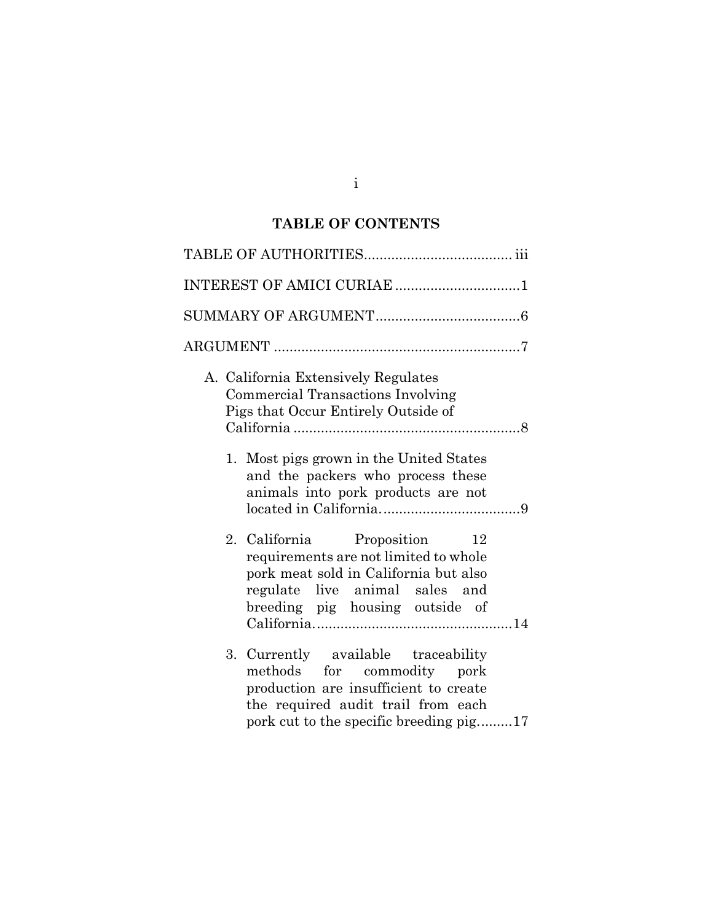## **TABLE OF CONTENTS**

| INTEREST OF AMICI CURIAE 1                                                                                                                                                                  |
|---------------------------------------------------------------------------------------------------------------------------------------------------------------------------------------------|
|                                                                                                                                                                                             |
|                                                                                                                                                                                             |
| A. California Extensively Regulates<br><b>Commercial Transactions Involving</b><br>Pigs that Occur Entirely Outside of                                                                      |
| 1. Most pigs grown in the United States<br>and the packers who process these<br>animals into pork products are not                                                                          |
| 2. California Proposition<br>12<br>requirements are not limited to whole<br>pork meat sold in California but also<br>regulate live animal sales and<br>breeding pig housing outside of      |
| 3. Currently available traceability<br>methods for commodity pork<br>production are insufficient to create<br>the required audit trail from each<br>pork cut to the specific breeding pig17 |

i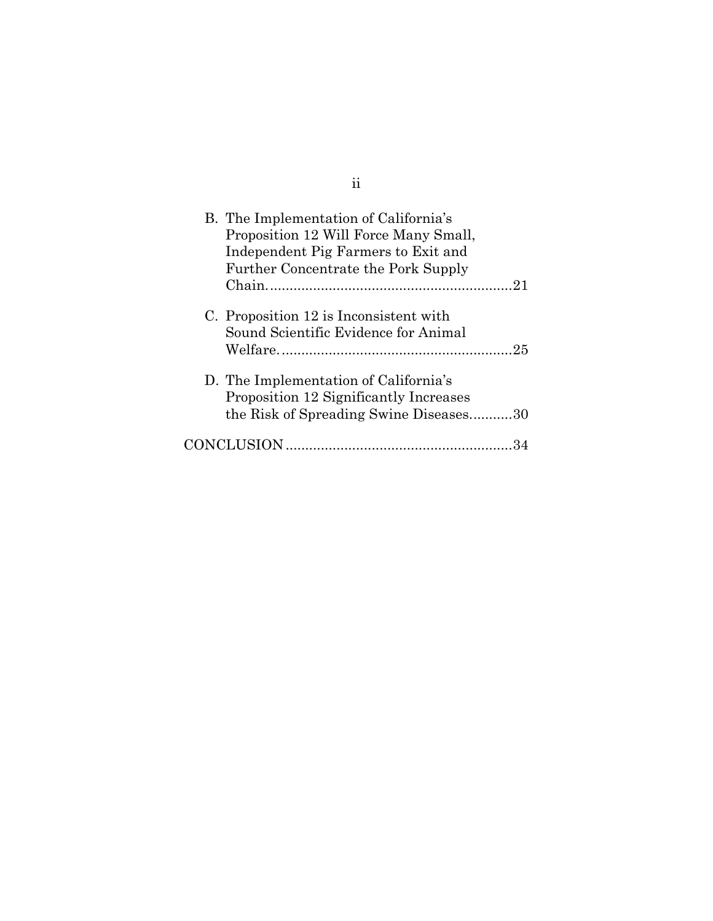| B. The Implementation of California's<br>Proposition 12 Will Force Many Small,<br>Independent Pig Farmers to Exit and<br>Further Concentrate the Pork Supply |
|--------------------------------------------------------------------------------------------------------------------------------------------------------------|
| C. Proposition 12 is Inconsistent with<br>Sound Scientific Evidence for Animal                                                                               |
| D. The Implementation of California's<br>Proposition 12 Significantly Increases<br>the Risk of Spreading Swine Diseases30                                    |
|                                                                                                                                                              |

ii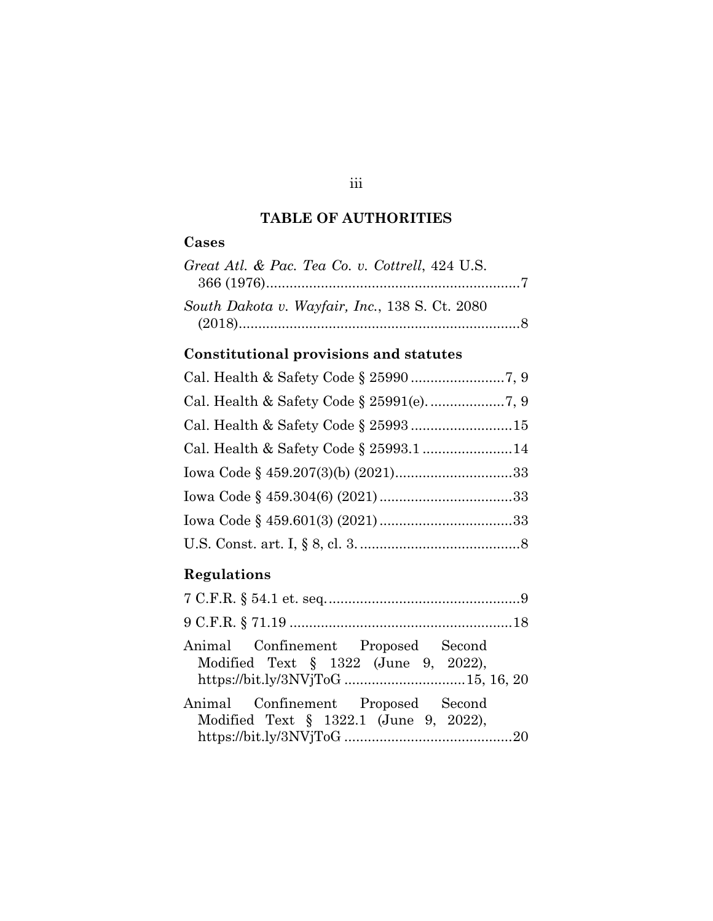## **TABLE OF AUTHORITIES**

## **Cases**

| Great Atl. & Pac. Tea Co. v. Cottrell, 424 U.S. |  |
|-------------------------------------------------|--|
| South Dakota v. Wayfair, Inc., 138 S. Ct. 2080  |  |

# **Constitutional provisions and statutes**

## **Regulations**

| Animal Confinement Proposed Second<br>Modified Text $\S$ 1322 (June 9, 2022),<br>https://bit.ly/3NVjToG 15, 16, 20 |  |
|--------------------------------------------------------------------------------------------------------------------|--|
| Animal Confinement Proposed Second<br>Modified Text § 1322.1 (June 9, 2022),                                       |  |

## iii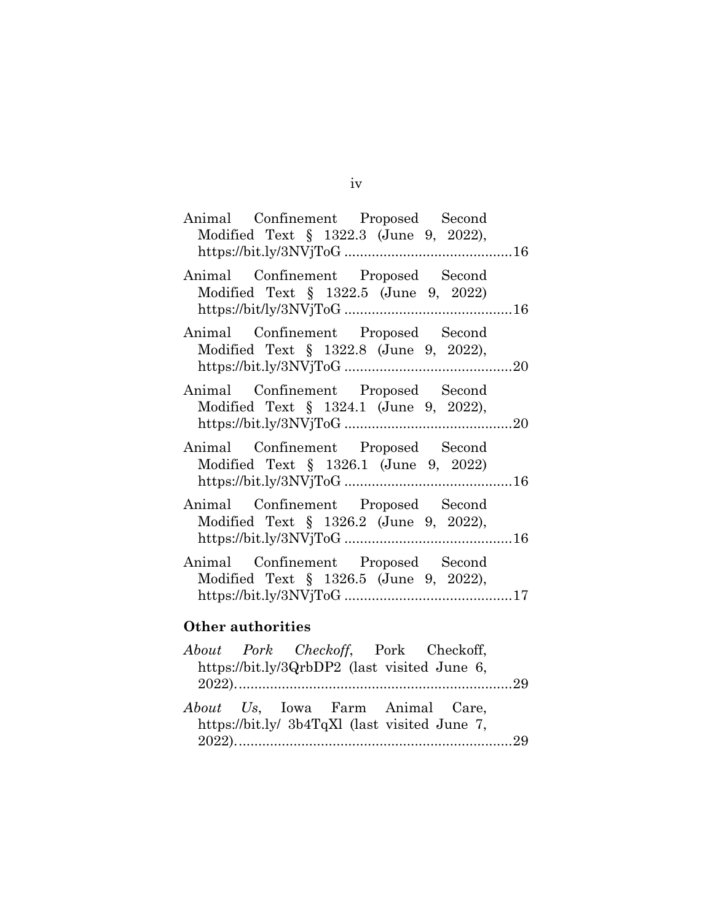| Animal Confinement Proposed Second<br>Modified Text § 1322.3 (June 9, 2022),    |  |
|---------------------------------------------------------------------------------|--|
| Animal Confinement Proposed Second<br>Modified Text § 1322.5 (June 9, 2022)     |  |
| Animal Confinement Proposed Second<br>Modified Text § 1322.8 (June 9, 2022),    |  |
| Animal Confinement Proposed Second<br>Modified Text $\S$ 1324.1 (June 9, 2022), |  |
| Animal Confinement Proposed Second<br>Modified Text § 1326.1 (June 9, 2022)     |  |
| Animal Confinement Proposed Second<br>Modified Text § 1326.2 (June 9, 2022),    |  |
| Animal Confinement Proposed Second<br>Modified Text § 1326.5 (June 9, 2022),    |  |
| Other authorities                                                               |  |
| About Pork Checkoff, Pork Checkoff,                                             |  |

|  |  | About Pork Checkoff, Pork Checkoff,<br>https://bit.ly/3QrbDP2 (last visited June 6,      |  |
|--|--|------------------------------------------------------------------------------------------|--|
|  |  | <i>About</i> Us, Iowa Farm Animal Care,<br>https://bit.ly/ 3b4TqXl (last visited June 7, |  |

iv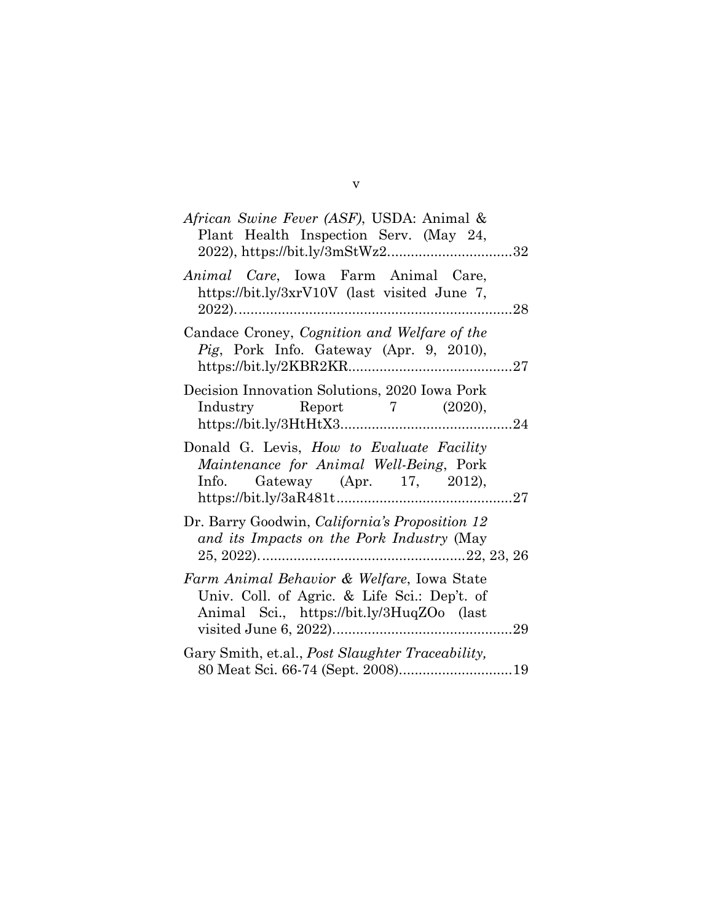| African Swine Fever (ASF), USDA: Animal &<br>Plant Health Inspection Serv. (May 24,<br>2022), https://bit.ly/3mStWz232                  |  |
|-----------------------------------------------------------------------------------------------------------------------------------------|--|
| Animal Care, Iowa Farm Animal Care,<br>https://bit.ly/3xrV10V (last visited June 7,                                                     |  |
| Candace Croney, Cognition and Welfare of the<br>Pig, Pork Info. Gateway (Apr. 9, 2010),                                                 |  |
| Decision Innovation Solutions, 2020 Iowa Pork<br>Industry Report 7 (2020),                                                              |  |
| Donald G. Levis, How to Evaluate Facility<br>Maintenance for Animal Well-Being, Pork<br>Info. Gateway (Apr. 17, 2012),                  |  |
| Dr. Barry Goodwin, California's Proposition 12<br>and its Impacts on the Pork Industry (May                                             |  |
| Farm Animal Behavior & Welfare, Iowa State<br>Univ. Coll. of Agric. & Life Sci.: Dep't. of<br>Animal Sci., https://bit.ly/3HuqZOo (last |  |
| Gary Smith, et.al., <i>Post Slaughter Traceability</i> ,                                                                                |  |

v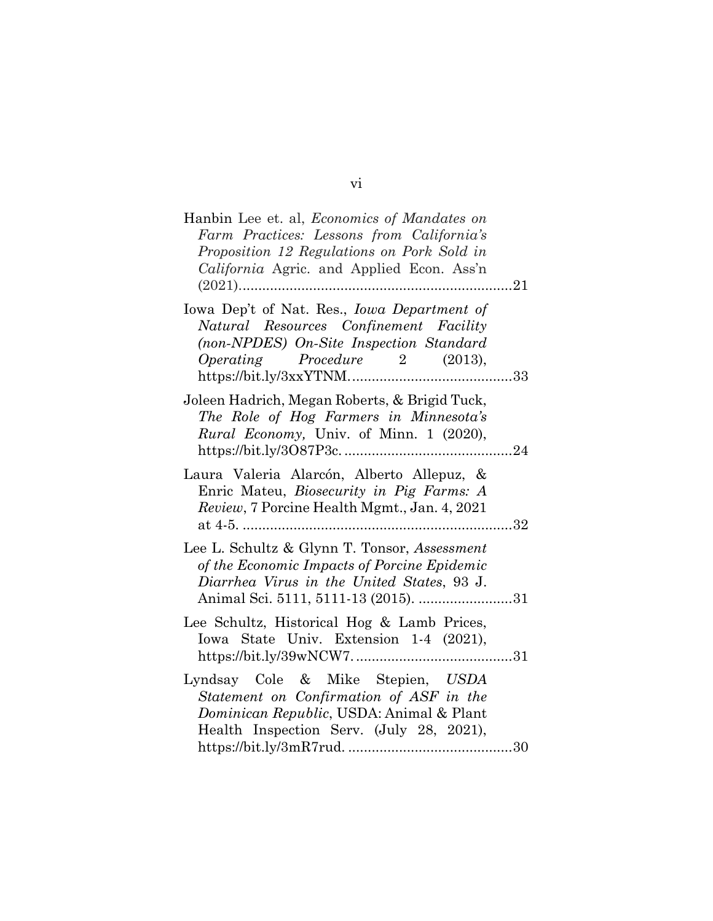| Hanbin Lee et. al, Economics of Mandates on<br>Farm Practices: Lessons from California's<br>Proposition 12 Regulations on Pork Sold in<br>California Agric. and Applied Econ. Ass'n |    |
|-------------------------------------------------------------------------------------------------------------------------------------------------------------------------------------|----|
| Iowa Dep't of Nat. Res., <i>Iowa Department of</i><br>Natural Resources Confinement Facility<br>(non-NPDES) On-Site Inspection Standard<br>$Operating$ $Proceedure$ $2$ $(2013)$ ,  | 33 |
| Joleen Hadrich, Megan Roberts, & Brigid Tuck,<br>The Role of Hog Farmers in Minnesota's<br>Rural Economy, Univ. of Minn. 1 (2020),                                                  | 24 |
| Laura Valeria Alarcón, Alberto Allepuz, &<br>Enric Mateu, Biosecurity in Pig Farms: A<br>Review, 7 Porcine Health Mgmt., Jan. 4, 2021                                               | 32 |
| Lee L. Schultz & Glynn T. Tonsor, Assessment<br>of the Economic Impacts of Porcine Epidemic<br>Diarrhea Virus in the United States, 93 J.<br>Animal Sci. 5111, 5111-13 (2015). 31   |    |
| Lee Schultz, Historical Hog & Lamb Prices,<br>Iowa State Univ. Extension 1-4 (2021),                                                                                                |    |
| Lyndsay Cole & Mike Stepien, USDA<br>Statement on Confirmation of ASF in the<br>Dominican Republic, USDA: Animal & Plant<br>Health Inspection Serv. (July 28, 2021),                |    |

vi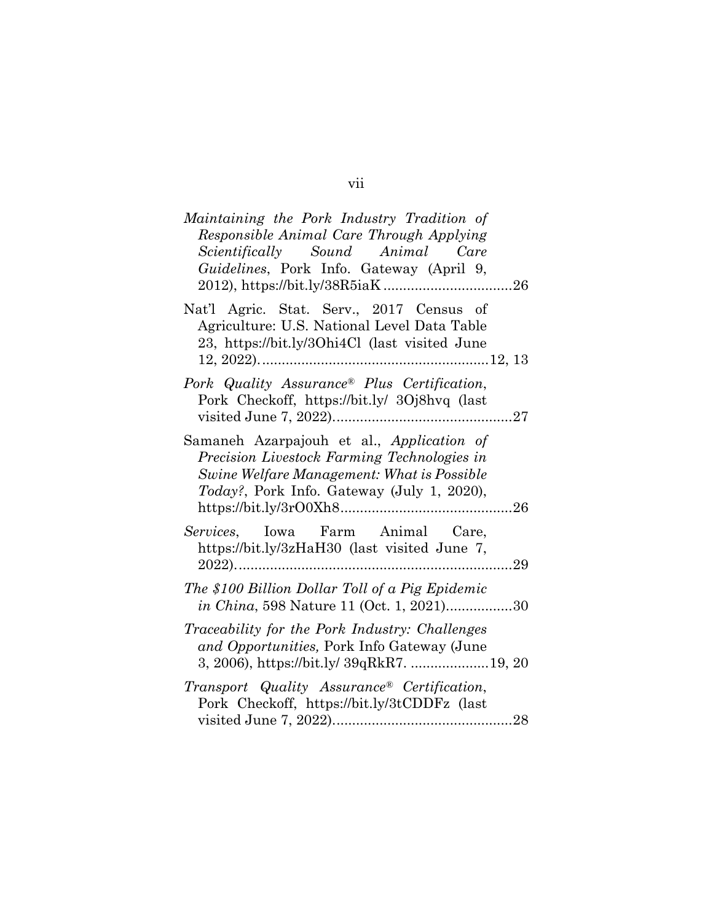| Maintaining the Pork Industry Tradition of                                                                                               |            |
|------------------------------------------------------------------------------------------------------------------------------------------|------------|
| Responsible Animal Care Through Applying                                                                                                 |            |
| Scientifically Sound Animal Care                                                                                                         |            |
| Guidelines, Pork Info. Gateway (April 9,                                                                                                 |            |
|                                                                                                                                          |            |
| Nat'l Agric. Stat. Serv., 2017 Census of<br>Agriculture: U.S. National Level Data Table<br>23, https://bit.ly/30hi4Cl (last visited June |            |
| Pork Quality Assurance <sup>®</sup> Plus Certification,                                                                                  |            |
| Pork Checkoff, https://bit.ly/ 3Oj8hvq (last                                                                                             |            |
|                                                                                                                                          |            |
|                                                                                                                                          |            |
| Samaneh Azarpajouh et al., Application of                                                                                                |            |
| Precision Livestock Farming Technologies in                                                                                              |            |
| Swine Welfare Management: What is Possible                                                                                               |            |
| <i>Today?</i> , Pork Info. Gateway (July 1, 2020),                                                                                       |            |
|                                                                                                                                          |            |
| Services, Iowa Farm Animal Care,                                                                                                         |            |
| https://bit.ly/3zHaH30 (last visited June 7,                                                                                             |            |
|                                                                                                                                          | $\dots 29$ |
| The \$100 Billion Dollar Toll of a Pig Epidemic                                                                                          |            |
| in China, 598 Nature 11 (Oct. 1, 2021)30                                                                                                 |            |
| Traceability for the Pork Industry: Challenges                                                                                           |            |
| and Opportunities, Pork Info Gateway (June                                                                                               |            |
| 3, 2006), https://bit.ly/ 39qRkR7.  19, 20                                                                                               |            |
|                                                                                                                                          |            |
| Transport Quality Assurance® Certification,                                                                                              |            |
| Pork Checkoff, https://bit.ly/3tCDDFz (last                                                                                              |            |
|                                                                                                                                          |            |

vii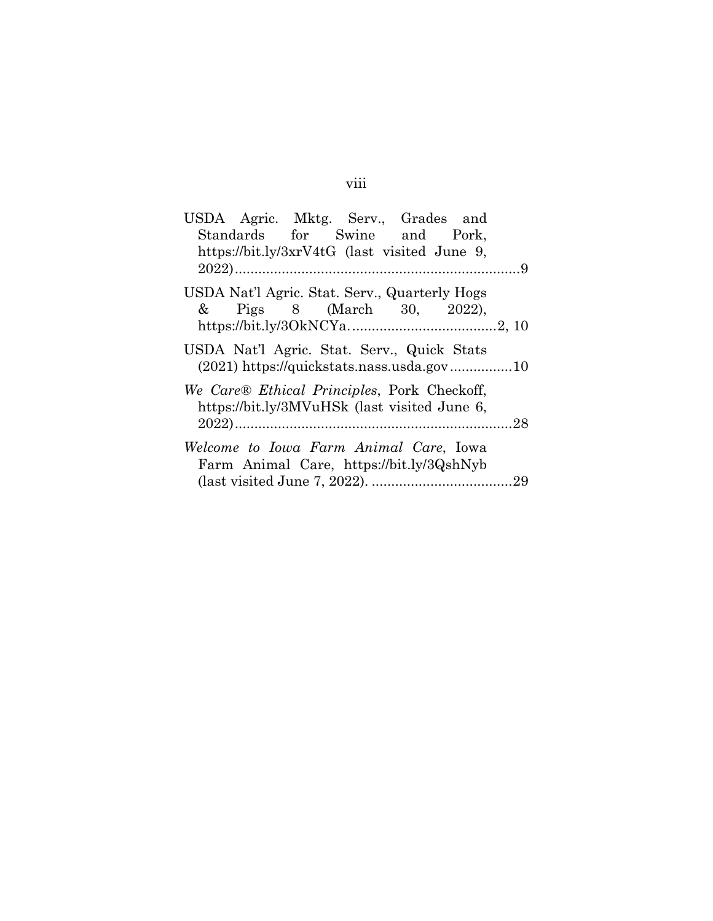| USDA Agric. Mktg. Serv., Grades and           |  |
|-----------------------------------------------|--|
| Standards for Swine and Pork,                 |  |
| https://bit.ly/3xrV4tG (last visited June 9,  |  |
|                                               |  |
| USDA Nat'l Agric. Stat. Serv., Quarterly Hogs |  |
| & Pigs 8 (March 30, 2022),                    |  |
|                                               |  |
| USDA Nat'l Agric. Stat. Serv., Quick Stats    |  |
|                                               |  |
| We Care® Ethical Principles, Pork Checkoff,   |  |
| https://bit.ly/3MVuHSk (last visited June 6,  |  |
|                                               |  |
| Welcome to Iowa Farm Animal Care, Iowa        |  |
| Farm Animal Care, https://bit.ly/3QshNyb      |  |
|                                               |  |
|                                               |  |

# viii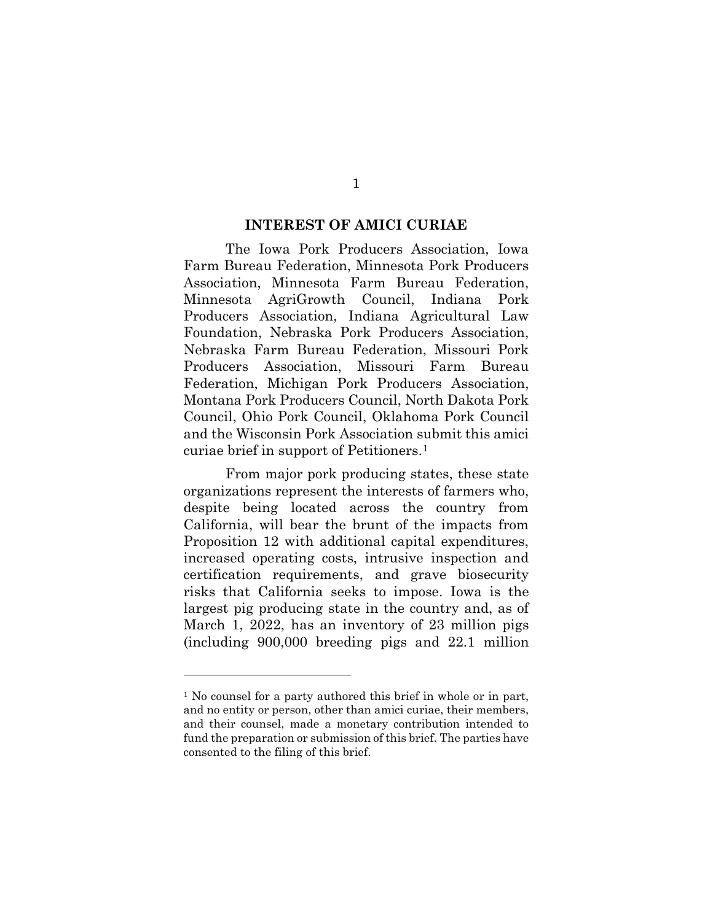#### **INTEREST OF AMICI CURIAE**

The Iowa Pork Producers Association, Iowa Farm Bureau Federation, Minnesota Pork Producers Association, Minnesota Farm Bureau Federation, Minnesota AgriGrowth Council, Indiana Pork Producers Association, Indiana Agricultural Law Foundation, Nebraska Pork Producers Association, Nebraska Farm Bureau Federation, Missouri Pork Producers Association, Missouri Farm Bureau Federation, Michigan Pork Producers Association, Montana Pork Producers Council, North Dakota Pork Council, Ohio Pork Council, Oklahoma Pork Council and the Wisconsin Pork Association submit this amici curiae brief in support of Petitioners.1

From major pork producing states, these state organizations represent the interests of farmers who, despite being located across the country from California, will bear the brunt of the impacts from Proposition 12 with additional capital expenditures, increased operating costs, intrusive inspection and certification requirements, and grave biosecurity risks that California seeks to impose. Iowa is the largest pig producing state in the country and, as of March 1, 2022, has an inventory of 23 million pigs (including 900,000 breeding pigs and 22.1 million

<sup>1</sup> No counsel for a party authored this brief in whole or in part, and no entity or person, other than amici curiae, their members, and their counsel, made a monetary contribution intended to fund the preparation or submission of this brief. The parties have consented to the filing of this brief.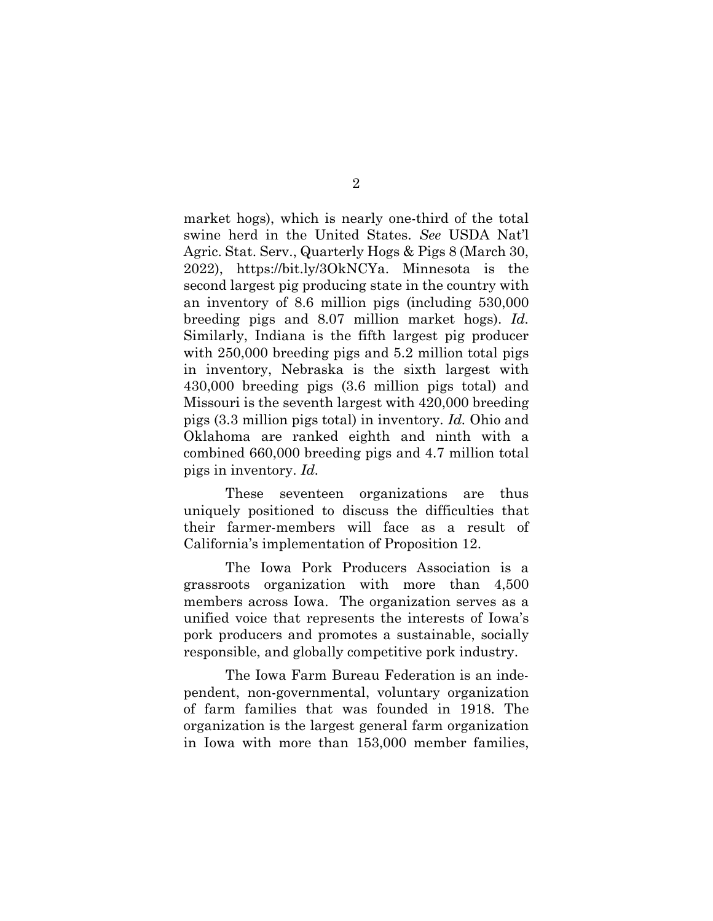market hogs), which is nearly one-third of the total swine herd in the United States. *See* USDA Nat'l Agric. Stat. Serv., Quarterly Hogs & Pigs 8 (March 30, 2022), https://bit.ly/3OkNCYa. Minnesota is the second largest pig producing state in the country with an inventory of 8.6 million pigs (including 530,000 breeding pigs and 8.07 million market hogs). *Id.* Similarly, Indiana is the fifth largest pig producer with 250,000 breeding pigs and 5.2 million total pigs in inventory, Nebraska is the sixth largest with 430,000 breeding pigs (3.6 million pigs total) and Missouri is the seventh largest with 420,000 breeding pigs (3.3 million pigs total) in inventory. *Id.* Ohio and Oklahoma are ranked eighth and ninth with a combined 660,000 breeding pigs and 4.7 million total pigs in inventory. *Id.*

These seventeen organizations are thus uniquely positioned to discuss the difficulties that their farmer-members will face as a result of California's implementation of Proposition 12.

The Iowa Pork Producers Association is a grassroots organization with more than 4,500 members across Iowa. The organization serves as a unified voice that represents the interests of Iowa's pork producers and promotes a sustainable, socially responsible, and globally competitive pork industry.

The Iowa Farm Bureau Federation is an independent, non-governmental, voluntary organization of farm families that was founded in 1918. The organization is the largest general farm organization in Iowa with more than 153,000 member families,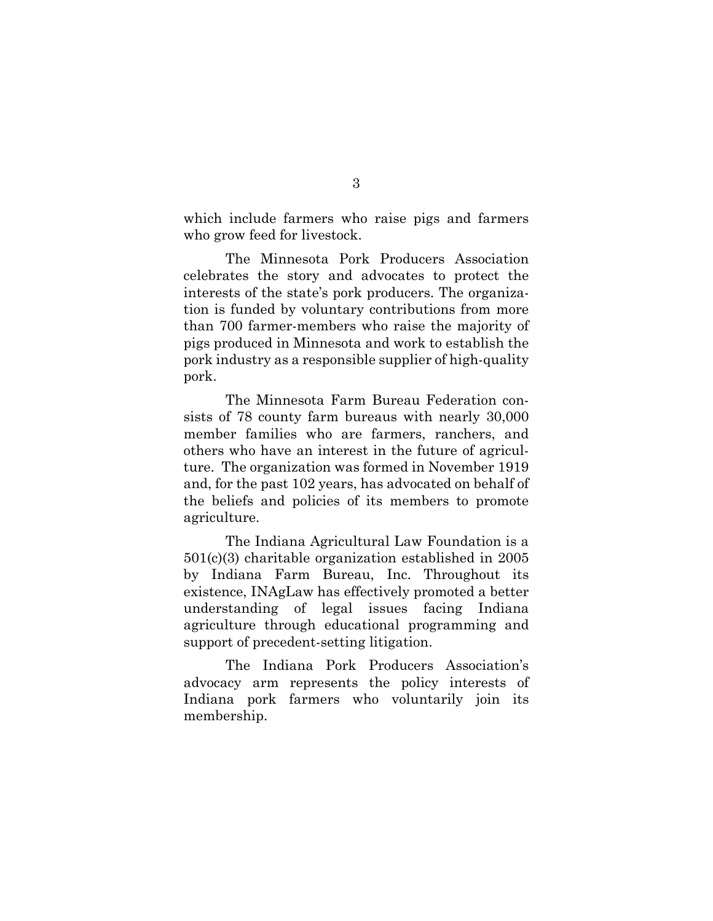which include farmers who raise pigs and farmers who grow feed for livestock.

The Minnesota Pork Producers Association celebrates the story and advocates to protect the interests of the state's pork producers. The organization is funded by voluntary contributions from more than 700 farmer-members who raise the majority of pigs produced in Minnesota and work to establish the pork industry as a responsible supplier of high-quality pork.

The Minnesota Farm Bureau Federation consists of 78 county farm bureaus with nearly 30,000 member families who are farmers, ranchers, and others who have an interest in the future of agriculture. The organization was formed in November 1919 and, for the past 102 years, has advocated on behalf of the beliefs and policies of its members to promote agriculture.

The Indiana Agricultural Law Foundation is a 501(c)(3) charitable organization established in 2005 by Indiana Farm Bureau, Inc. Throughout its existence, INAgLaw has effectively promoted a better understanding of legal issues facing Indiana agriculture through educational programming and support of precedent-setting litigation.

The Indiana Pork Producers Association's advocacy arm represents the policy interests of Indiana pork farmers who voluntarily join its membership.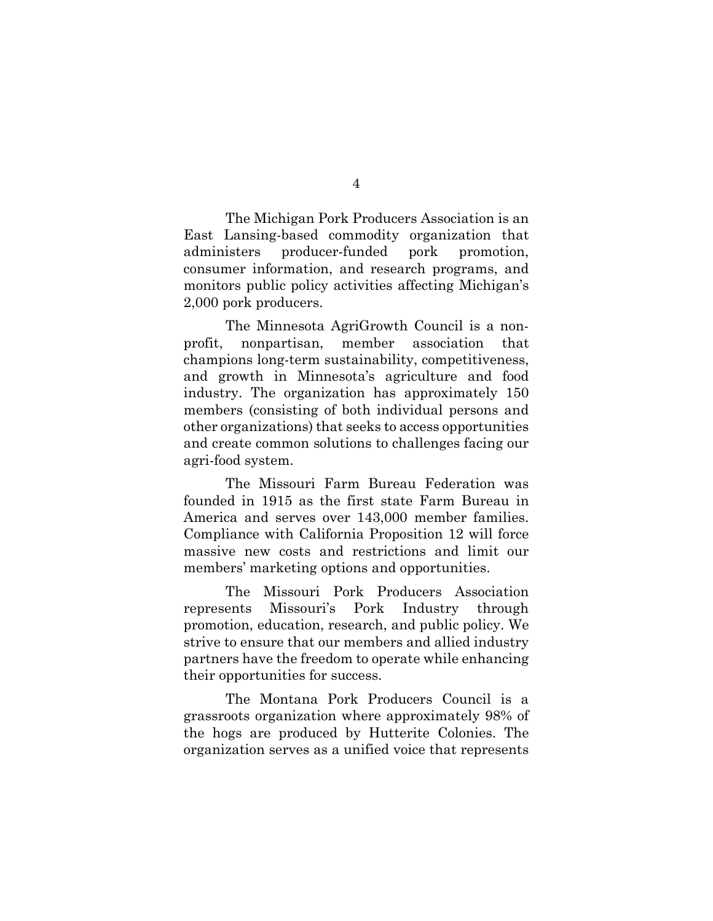The Michigan Pork Producers Association is an East Lansing-based commodity organization that administers producer-funded pork promotion, consumer information, and research programs, and monitors public policy activities affecting Michigan's 2,000 pork producers.

The Minnesota AgriGrowth Council is a nonprofit, nonpartisan, member association that champions long-term sustainability, competitiveness, and growth in Minnesota's agriculture and food industry. The organization has approximately 150 members (consisting of both individual persons and other organizations) that seeks to access opportunities and create common solutions to challenges facing our agri-food system.

The Missouri Farm Bureau Federation was founded in 1915 as the first state Farm Bureau in America and serves over 143,000 member families. Compliance with California Proposition 12 will force massive new costs and restrictions and limit our members' marketing options and opportunities.

The Missouri Pork Producers Association represents Missouri's Pork Industry through promotion, education, research, and public policy. We strive to ensure that our members and allied industry partners have the freedom to operate while enhancing their opportunities for success.

The Montana Pork Producers Council is a grassroots organization where approximately 98% of the hogs are produced by Hutterite Colonies. The organization serves as a unified voice that represents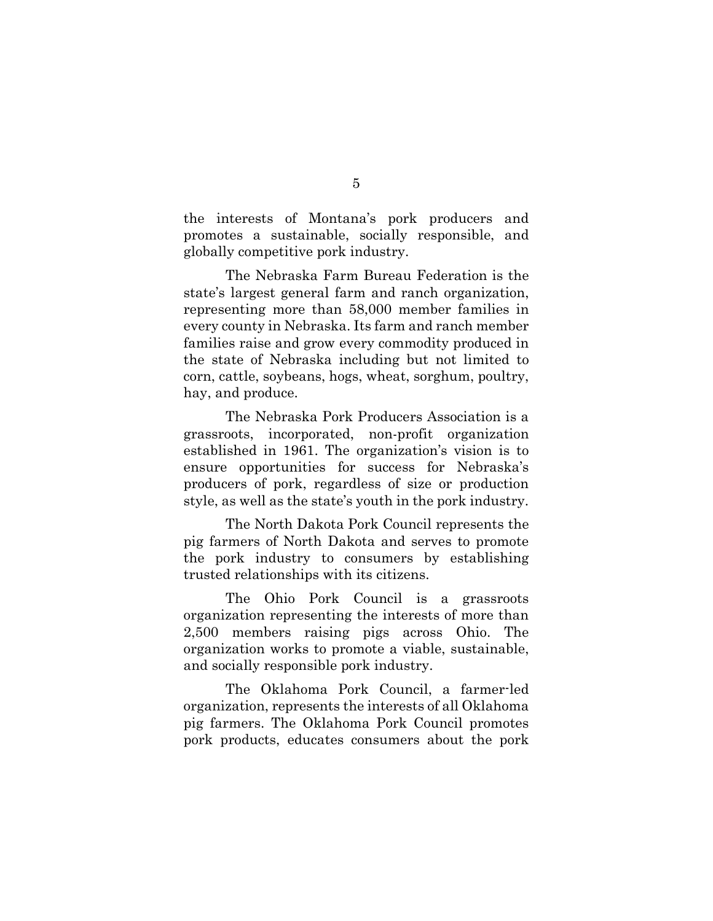the interests of Montana's pork producers and promotes a sustainable, socially responsible, and globally competitive pork industry.

The Nebraska Farm Bureau Federation is the state's largest general farm and ranch organization, representing more than 58,000 member families in every county in Nebraska. Its farm and ranch member families raise and grow every commodity produced in the state of Nebraska including but not limited to corn, cattle, soybeans, hogs, wheat, sorghum, poultry, hay, and produce.

The Nebraska Pork Producers Association is a grassroots, incorporated, non-profit organization established in 1961. The organization's vision is to ensure opportunities for success for Nebraska's producers of pork, regardless of size or production style, as well as the state's youth in the pork industry.

The North Dakota Pork Council represents the pig farmers of North Dakota and serves to promote the pork industry to consumers by establishing trusted relationships with its citizens.

The Ohio Pork Council is a grassroots organization representing the interests of more than 2,500 members raising pigs across Ohio. The organization works to promote a viable, sustainable, and socially responsible pork industry.

The Oklahoma Pork Council, a farmer-led organization, represents the interests of all Oklahoma pig farmers. The Oklahoma Pork Council promotes pork products, educates consumers about the pork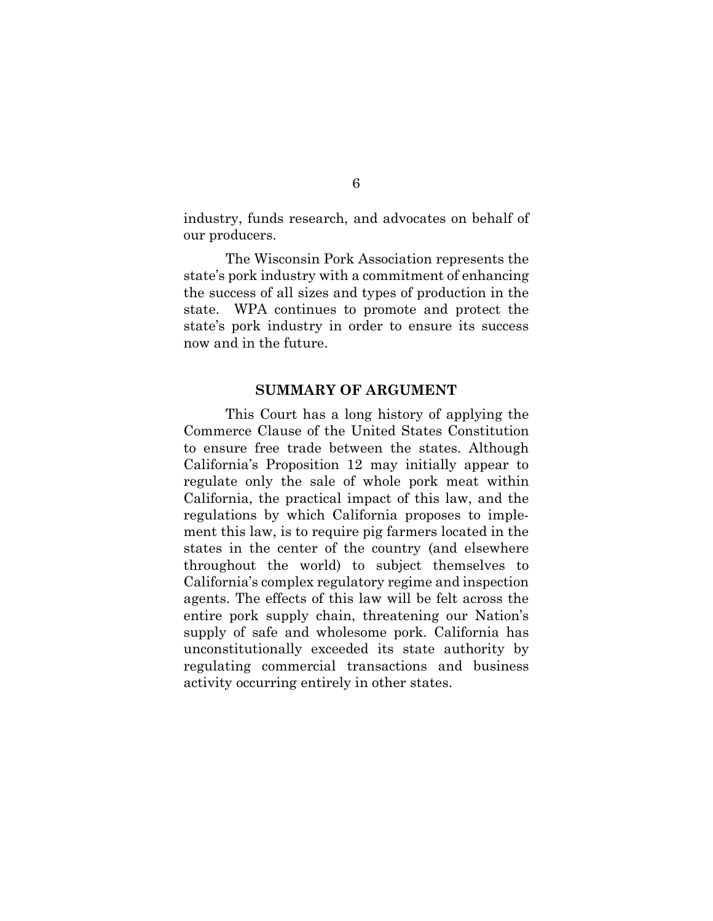industry, funds research, and advocates on behalf of our producers.

The Wisconsin Pork Association represents the state's pork industry with a commitment of enhancing the success of all sizes and types of production in the state. WPA continues to promote and protect the state's pork industry in order to ensure its success now and in the future.

#### **SUMMARY OF ARGUMENT**

This Court has a long history of applying the Commerce Clause of the United States Constitution to ensure free trade between the states. Although California's Proposition 12 may initially appear to regulate only the sale of whole pork meat within California, the practical impact of this law, and the regulations by which California proposes to implement this law, is to require pig farmers located in the states in the center of the country (and elsewhere throughout the world) to subject themselves to California's complex regulatory regime and inspection agents. The effects of this law will be felt across the entire pork supply chain, threatening our Nation's supply of safe and wholesome pork. California has unconstitutionally exceeded its state authority by regulating commercial transactions and business activity occurring entirely in other states.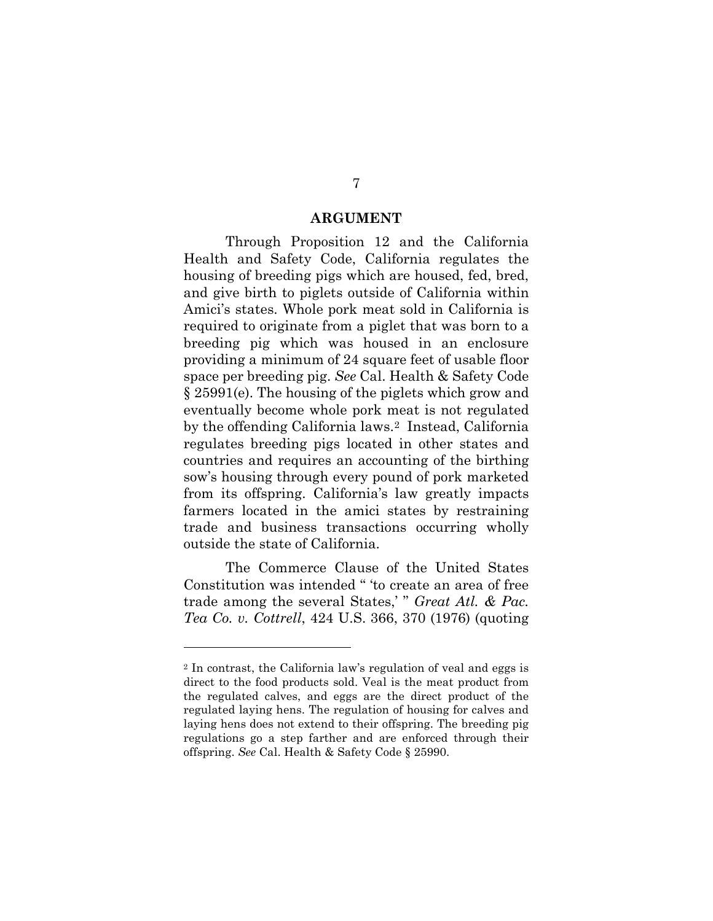#### **ARGUMENT**

Through Proposition 12 and the California Health and Safety Code, California regulates the housing of breeding pigs which are housed, fed, bred, and give birth to piglets outside of California within Amici's states. Whole pork meat sold in California is required to originate from a piglet that was born to a breeding pig which was housed in an enclosure providing a minimum of 24 square feet of usable floor space per breeding pig. *See* Cal. Health & Safety Code § 25991(e). The housing of the piglets which grow and eventually become whole pork meat is not regulated by the offending California laws.2 Instead, California regulates breeding pigs located in other states and countries and requires an accounting of the birthing sow's housing through every pound of pork marketed from its offspring. California's law greatly impacts farmers located in the amici states by restraining trade and business transactions occurring wholly outside the state of California.

The Commerce Clause of the United States Constitution was intended " 'to create an area of free trade among the several States,' " *Great Atl. & Pac. Tea Co. v. Cottrell*, 424 U.S. 366, 370 (1976) (quoting

<sup>2</sup> In contrast, the California law's regulation of veal and eggs is direct to the food products sold. Veal is the meat product from the regulated calves, and eggs are the direct product of the regulated laying hens. The regulation of housing for calves and laying hens does not extend to their offspring. The breeding pig regulations go a step farther and are enforced through their offspring. *See* Cal. Health & Safety Code § 25990.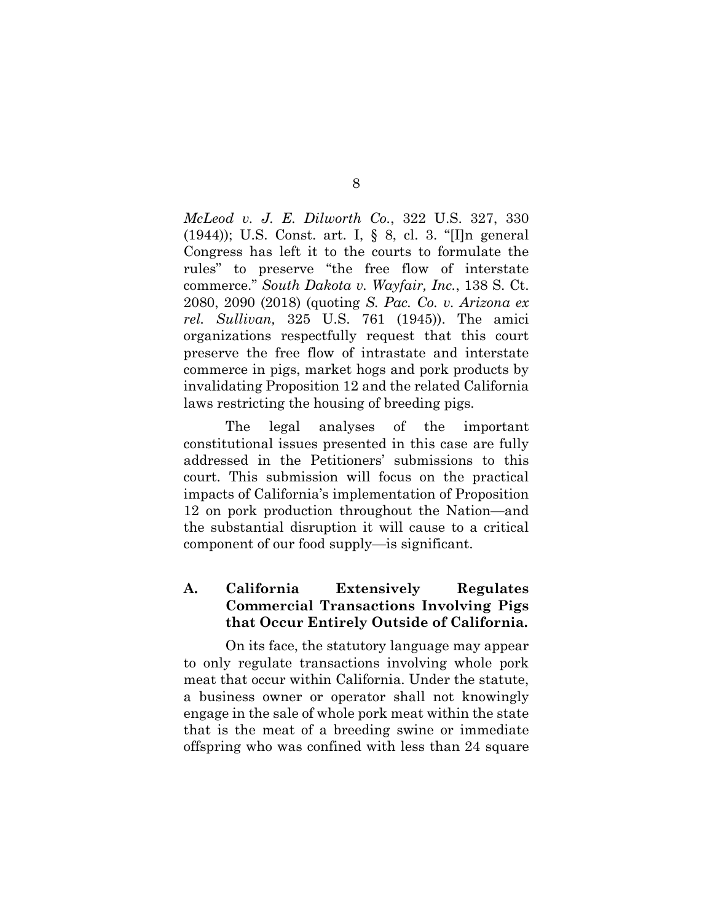*McLeod v. J. E. Dilworth Co.*, 322 U.S. 327, 330 (1944)); U.S. Const. art. I, § 8, cl. 3. "[I]n general Congress has left it to the courts to formulate the rules" to preserve "the free flow of interstate commerce." *South Dakota v. Wayfair, Inc.*, 138 S. Ct. 2080, 2090 (2018) (quoting *S. Pac. Co. v. Arizona ex rel. Sullivan,* 325 U.S. 761 (1945)). The amici organizations respectfully request that this court preserve the free flow of intrastate and interstate commerce in pigs, market hogs and pork products by invalidating Proposition 12 and the related California laws restricting the housing of breeding pigs.

The legal analyses of the important constitutional issues presented in this case are fully addressed in the Petitioners' submissions to this court. This submission will focus on the practical impacts of California's implementation of Proposition 12 on pork production throughout the Nation—and the substantial disruption it will cause to a critical component of our food supply—is significant.

## **A. California Extensively Regulates Commercial Transactions Involving Pigs that Occur Entirely Outside of California.**

On its face, the statutory language may appear to only regulate transactions involving whole pork meat that occur within California. Under the statute, a business owner or operator shall not knowingly engage in the sale of whole pork meat within the state that is the meat of a breeding swine or immediate offspring who was confined with less than 24 square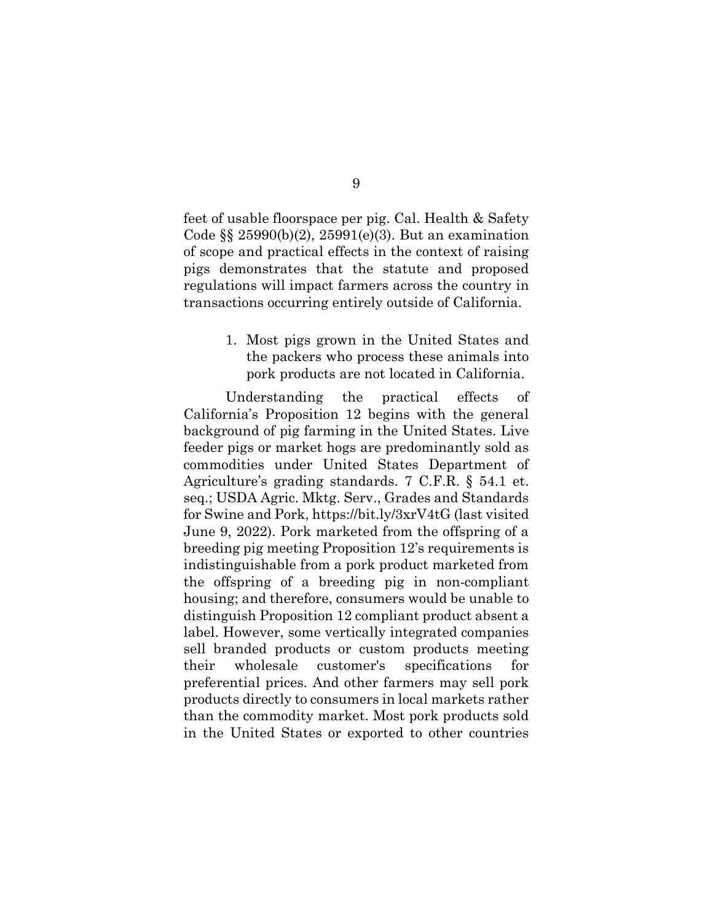feet of usable floorspace per pig. Cal. Health & Safety Code §§ 25990(b)(2), 25991(e)(3). But an examination of scope and practical effects in the context of raising pigs demonstrates that the statute and proposed regulations will impact farmers across the country in transactions occurring entirely outside of California.

> 1. Most pigs grown in the United States and the packers who process these animals into pork products are not located in California.

Understanding the practical effects of California's Proposition 12 begins with the general background of pig farming in the United States. Live feeder pigs or market hogs are predominantly sold as commodities under United States Department of Agriculture's grading standards. 7 C.F.R. § 54.1 et. seq.; USDA Agric. Mktg. Serv., Grades and Standards for Swine and Pork, https://bit.ly/3xrV4tG (last visited June 9, 2022). Pork marketed from the offspring of a breeding pig meeting Proposition 12's requirements is indistinguishable from a pork product marketed from the offspring of a breeding pig in non-compliant housing; and therefore, consumers would be unable to distinguish Proposition 12 compliant product absent a label. However, some vertically integrated companies sell branded products or custom products meeting their wholesale customer's specifications for preferential prices. And other farmers may sell pork products directly to consumers in local markets rather than the commodity market. Most pork products sold in the United States or exported to other countries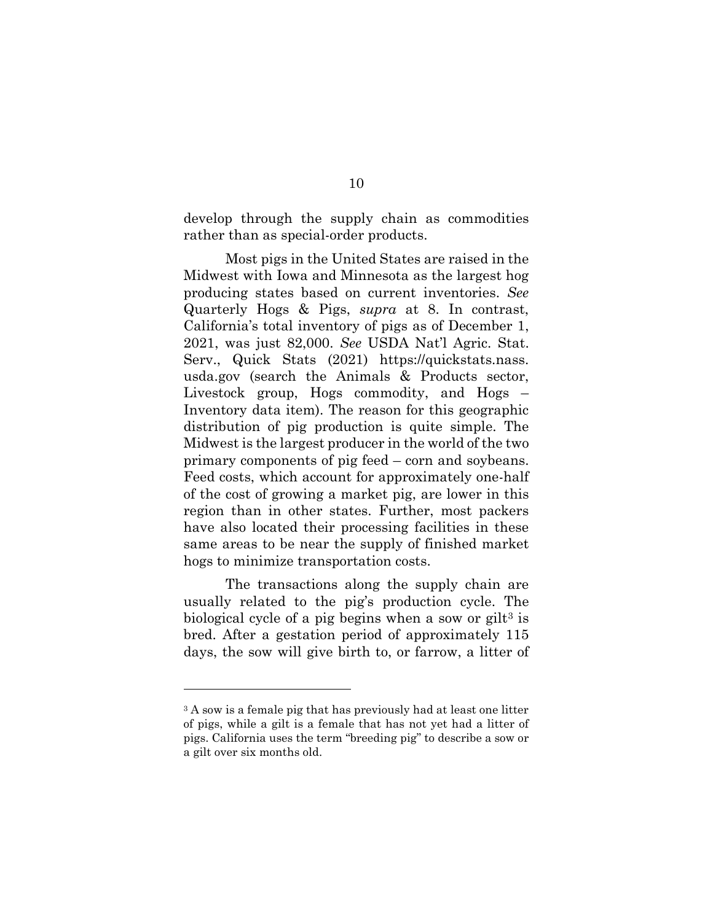develop through the supply chain as commodities rather than as special-order products.

Most pigs in the United States are raised in the Midwest with Iowa and Minnesota as the largest hog producing states based on current inventories. *See* Quarterly Hogs & Pigs, *supra* at 8. In contrast, California's total inventory of pigs as of December 1, 2021, was just 82,000. *See* USDA Nat'l Agric. Stat. Serv., Quick Stats (2021) https://quickstats.nass. usda.gov (search the Animals & Products sector, Livestock group, Hogs commodity, and Hogs – Inventory data item). The reason for this geographic distribution of pig production is quite simple. The Midwest is the largest producer in the world of the two primary components of pig feed – corn and soybeans. Feed costs, which account for approximately one-half of the cost of growing a market pig, are lower in this region than in other states. Further, most packers have also located their processing facilities in these same areas to be near the supply of finished market hogs to minimize transportation costs.

The transactions along the supply chain are usually related to the pig's production cycle. The biological cycle of a pig begins when a sow or gilt<sup>3</sup> is bred. After a gestation period of approximately 115 days, the sow will give birth to, or farrow, a litter of

<sup>&</sup>lt;sup>3</sup> A sow is a female pig that has previously had at least one litter of pigs, while a gilt is a female that has not yet had a litter of pigs. California uses the term "breeding pig" to describe a sow or a gilt over six months old.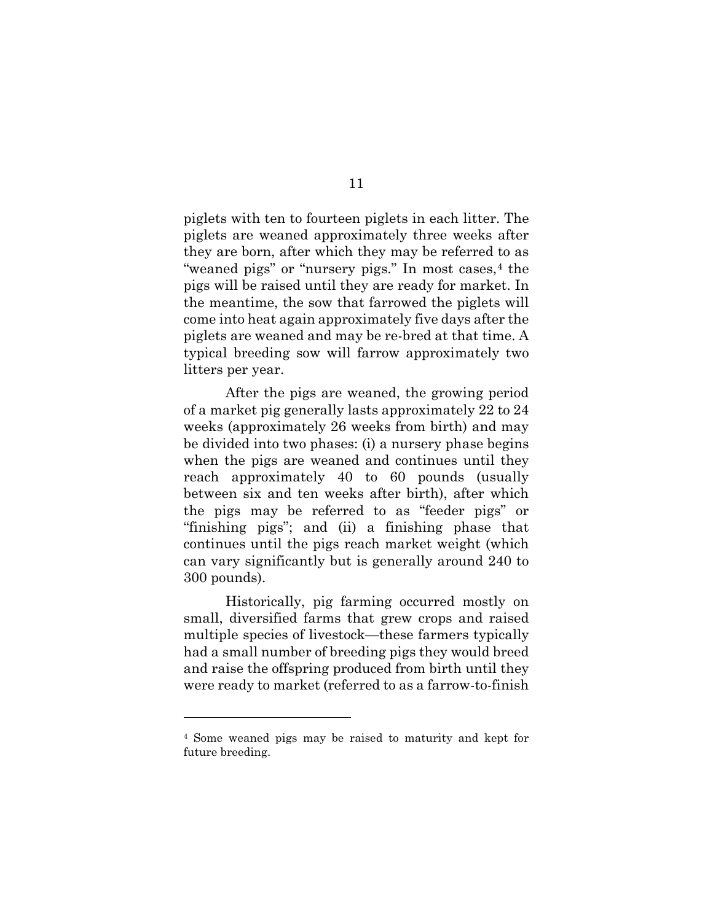piglets with ten to fourteen piglets in each litter. The piglets are weaned approximately three weeks after they are born, after which they may be referred to as "weaned pigs" or "nursery pigs." In most cases, 4 the pigs will be raised until they are ready for market. In the meantime, the sow that farrowed the piglets will come into heat again approximately five days after the piglets are weaned and may be re-bred at that time. A typical breeding sow will farrow approximately two litters per year.

After the pigs are weaned, the growing period of a market pig generally lasts approximately 22 to 24 weeks (approximately 26 weeks from birth) and may be divided into two phases: (i) a nursery phase begins when the pigs are weaned and continues until they reach approximately 40 to 60 pounds (usually between six and ten weeks after birth), after which the pigs may be referred to as "feeder pigs" or "finishing pigs"; and (ii) a finishing phase that continues until the pigs reach market weight (which can vary significantly but is generally around 240 to 300 pounds).

Historically, pig farming occurred mostly on small, diversified farms that grew crops and raised multiple species of livestock—these farmers typically had a small number of breeding pigs they would breed and raise the offspring produced from birth until they were ready to market (referred to as a farrow-to-finish

<sup>4</sup> Some weaned pigs may be raised to maturity and kept for future breeding.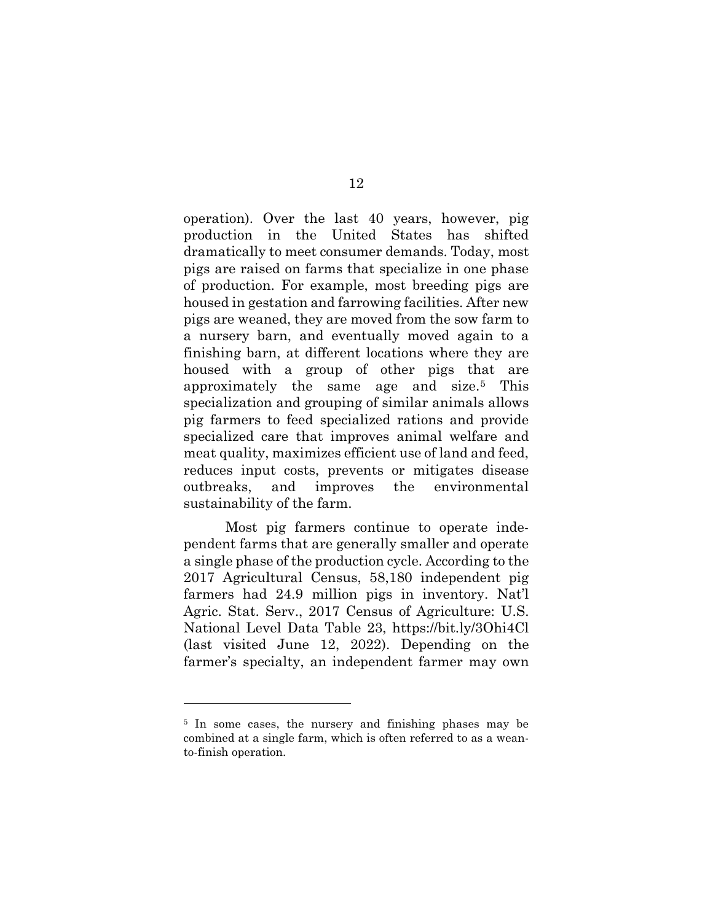operation). Over the last 40 years, however, pig production in the United States has shifted dramatically to meet consumer demands. Today, most pigs are raised on farms that specialize in one phase of production. For example, most breeding pigs are housed in gestation and farrowing facilities. After new pigs are weaned, they are moved from the sow farm to a nursery barn, and eventually moved again to a finishing barn, at different locations where they are housed with a group of other pigs that are approximately the same age and size.5 This specialization and grouping of similar animals allows pig farmers to feed specialized rations and provide specialized care that improves animal welfare and meat quality, maximizes efficient use of land and feed, reduces input costs, prevents or mitigates disease outbreaks, and improves the environmental sustainability of the farm.

Most pig farmers continue to operate independent farms that are generally smaller and operate a single phase of the production cycle. According to the 2017 Agricultural Census, 58,180 independent pig farmers had 24.9 million pigs in inventory. Nat'l Agric. Stat. Serv., 2017 Census of Agriculture: U.S. National Level Data Table 23, https://bit.ly/3Ohi4Cl (last visited June 12, 2022). Depending on the farmer's specialty, an independent farmer may own

<sup>5</sup> In some cases, the nursery and finishing phases may be combined at a single farm, which is often referred to as a weanto-finish operation.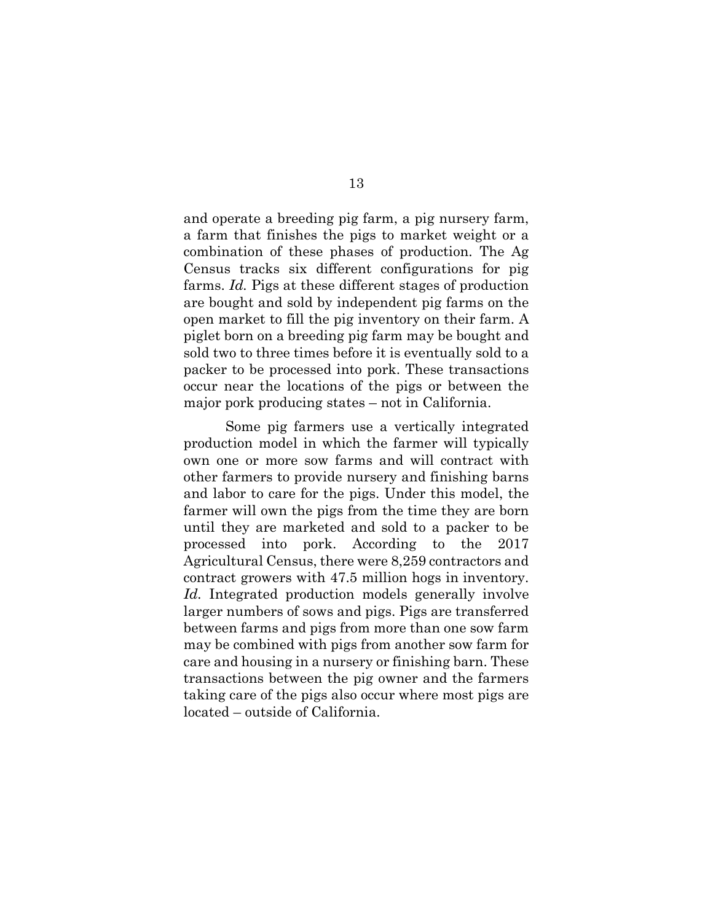and operate a breeding pig farm, a pig nursery farm, a farm that finishes the pigs to market weight or a combination of these phases of production. The Ag Census tracks six different configurations for pig farms. *Id.* Pigs at these different stages of production are bought and sold by independent pig farms on the open market to fill the pig inventory on their farm. A piglet born on a breeding pig farm may be bought and sold two to three times before it is eventually sold to a packer to be processed into pork. These transactions occur near the locations of the pigs or between the major pork producing states – not in California.

 Some pig farmers use a vertically integrated production model in which the farmer will typically own one or more sow farms and will contract with other farmers to provide nursery and finishing barns and labor to care for the pigs. Under this model, the farmer will own the pigs from the time they are born until they are marketed and sold to a packer to be processed into pork. According to the 2017 Agricultural Census, there were 8,259 contractors and contract growers with 47.5 million hogs in inventory. *Id.* Integrated production models generally involve larger numbers of sows and pigs. Pigs are transferred between farms and pigs from more than one sow farm may be combined with pigs from another sow farm for care and housing in a nursery or finishing barn. These transactions between the pig owner and the farmers taking care of the pigs also occur where most pigs are located – outside of California.

13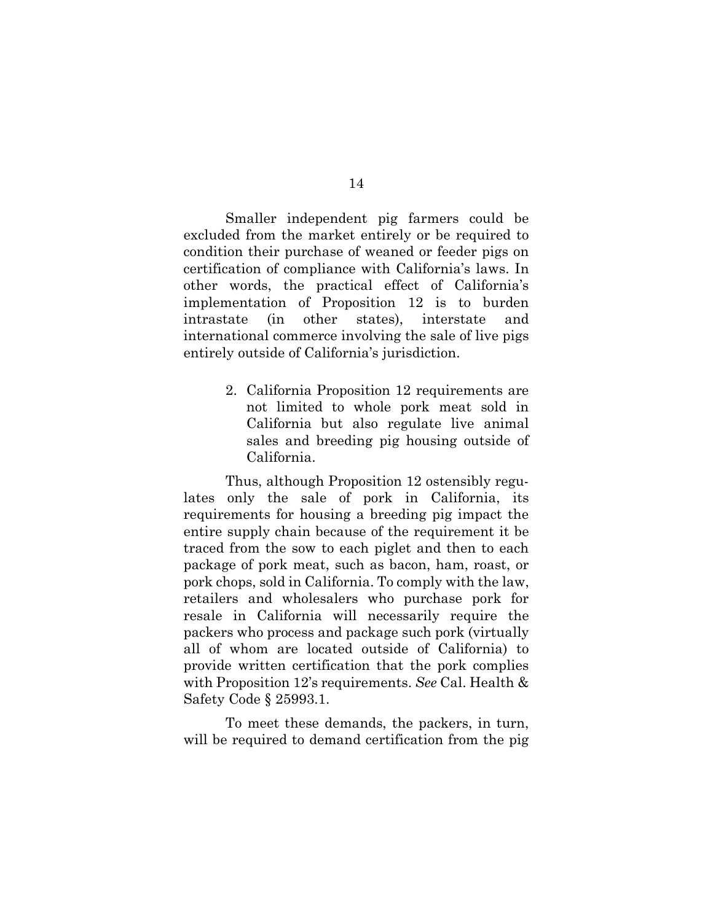Smaller independent pig farmers could be excluded from the market entirely or be required to condition their purchase of weaned or feeder pigs on certification of compliance with California's laws. In other words, the practical effect of California's implementation of Proposition 12 is to burden intrastate (in other states), interstate and international commerce involving the sale of live pigs entirely outside of California's jurisdiction.

> 2. California Proposition 12 requirements are not limited to whole pork meat sold in California but also regulate live animal sales and breeding pig housing outside of California.

Thus, although Proposition 12 ostensibly regulates only the sale of pork in California, its requirements for housing a breeding pig impact the entire supply chain because of the requirement it be traced from the sow to each piglet and then to each package of pork meat, such as bacon, ham, roast, or pork chops, sold in California. To comply with the law, retailers and wholesalers who purchase pork for resale in California will necessarily require the packers who process and package such pork (virtually all of whom are located outside of California) to provide written certification that the pork complies with Proposition 12's requirements. *See* Cal. Health & Safety Code § 25993.1.

To meet these demands, the packers, in turn, will be required to demand certification from the pig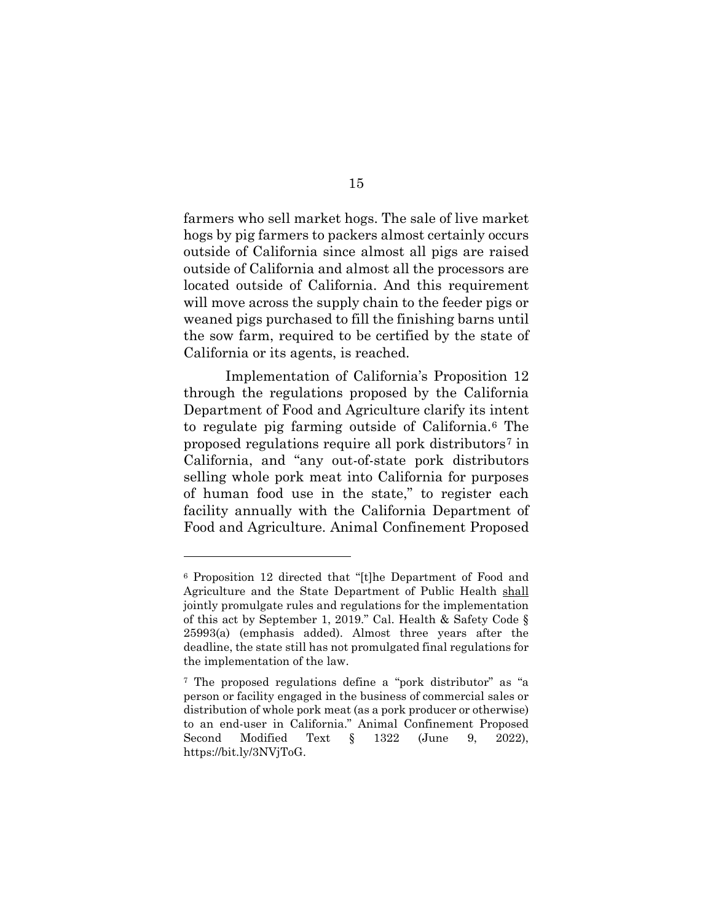farmers who sell market hogs. The sale of live market hogs by pig farmers to packers almost certainly occurs outside of California since almost all pigs are raised outside of California and almost all the processors are located outside of California. And this requirement will move across the supply chain to the feeder pigs or weaned pigs purchased to fill the finishing barns until the sow farm, required to be certified by the state of California or its agents, is reached.

Implementation of California's Proposition 12 through the regulations proposed by the California Department of Food and Agriculture clarify its intent to regulate pig farming outside of California.6 The proposed regulations require all pork distributors7 in California, and "any out-of-state pork distributors selling whole pork meat into California for purposes of human food use in the state," to register each facility annually with the California Department of Food and Agriculture. Animal Confinement Proposed

<sup>6</sup> Proposition 12 directed that "[t]he Department of Food and Agriculture and the State Department of Public Health shall jointly promulgate rules and regulations for the implementation of this act by September 1, 2019." Cal. Health & Safety Code § 25993(a) (emphasis added). Almost three years after the deadline, the state still has not promulgated final regulations for the implementation of the law.

<sup>7</sup> The proposed regulations define a "pork distributor" as "a person or facility engaged in the business of commercial sales or distribution of whole pork meat (as a pork producer or otherwise) to an end-user in California." Animal Confinement Proposed Second Modified Text § 1322 (June 9, 2022), https://bit.ly/3NVjToG.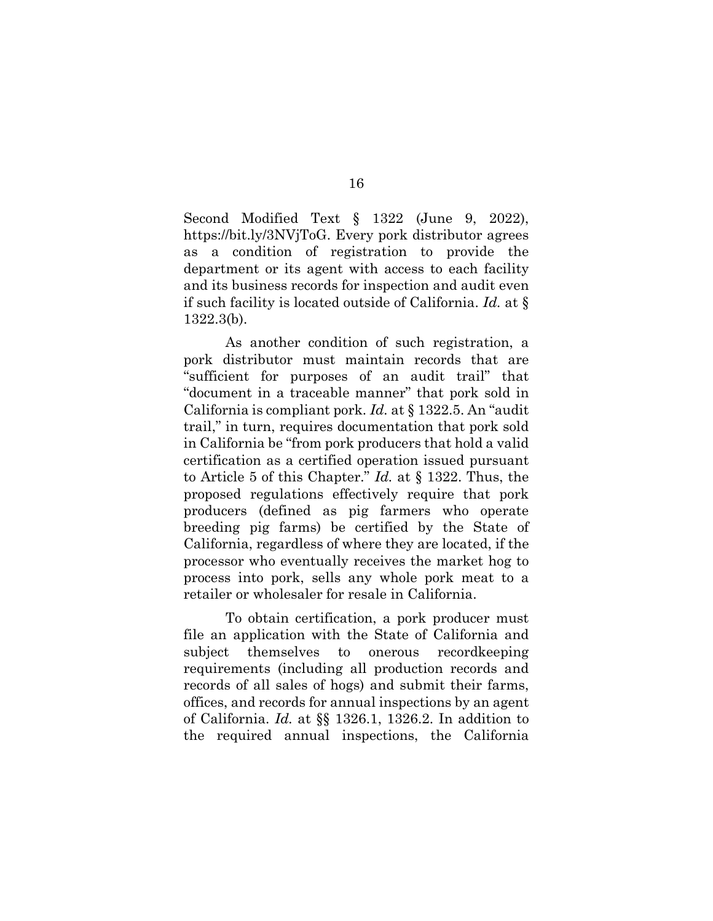Second Modified Text § 1322 (June 9, 2022), https://bit.ly/3NVjToG. Every pork distributor agrees as a condition of registration to provide the department or its agent with access to each facility and its business records for inspection and audit even if such facility is located outside of California. *Id.* at § 1322.3(b).

As another condition of such registration, a pork distributor must maintain records that are "sufficient for purposes of an audit trail" that "document in a traceable manner" that pork sold in California is compliant pork. *Id.* at § 1322.5. An "audit trail," in turn, requires documentation that pork sold in California be "from pork producers that hold a valid certification as a certified operation issued pursuant to Article 5 of this Chapter." *Id.* at § 1322. Thus, the proposed regulations effectively require that pork producers (defined as pig farmers who operate breeding pig farms) be certified by the State of California, regardless of where they are located, if the processor who eventually receives the market hog to process into pork, sells any whole pork meat to a retailer or wholesaler for resale in California.

To obtain certification, a pork producer must file an application with the State of California and subject themselves to onerous recordkeeping requirements (including all production records and records of all sales of hogs) and submit their farms, offices, and records for annual inspections by an agent of California. *Id.* at §§ 1326.1, 1326.2. In addition to the required annual inspections, the California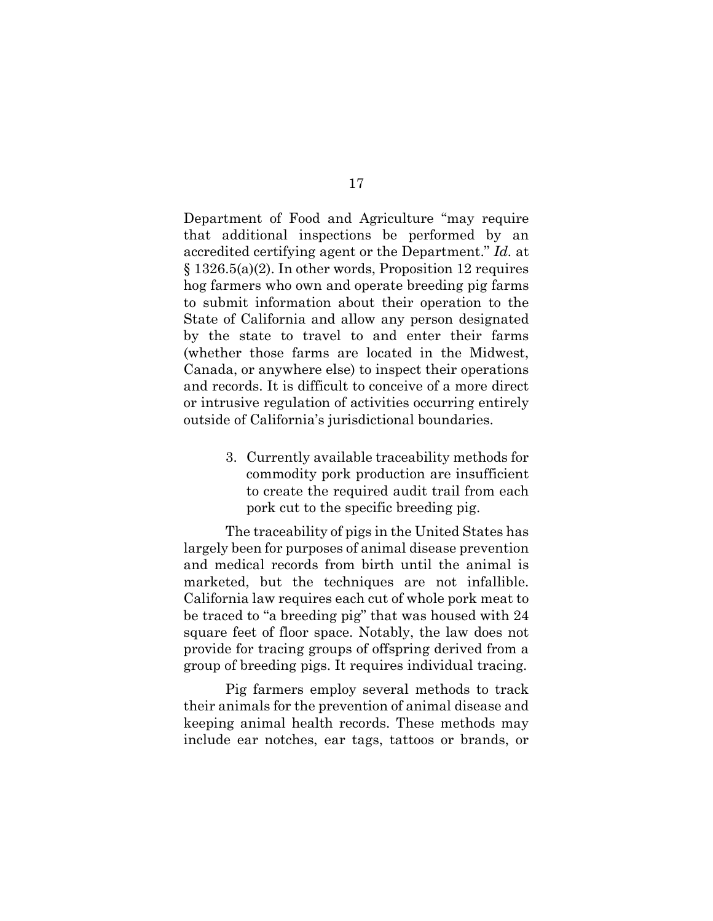Department of Food and Agriculture "may require that additional inspections be performed by an accredited certifying agent or the Department." *Id.* at § 1326.5(a)(2). In other words, Proposition 12 requires hog farmers who own and operate breeding pig farms to submit information about their operation to the State of California and allow any person designated by the state to travel to and enter their farms (whether those farms are located in the Midwest, Canada, or anywhere else) to inspect their operations and records. It is difficult to conceive of a more direct or intrusive regulation of activities occurring entirely outside of California's jurisdictional boundaries.

> 3. Currently available traceability methods for commodity pork production are insufficient to create the required audit trail from each pork cut to the specific breeding pig.

The traceability of pigs in the United States has largely been for purposes of animal disease prevention and medical records from birth until the animal is marketed, but the techniques are not infallible. California law requires each cut of whole pork meat to be traced to "a breeding pig" that was housed with 24 square feet of floor space. Notably, the law does not provide for tracing groups of offspring derived from a group of breeding pigs. It requires individual tracing.

Pig farmers employ several methods to track their animals for the prevention of animal disease and keeping animal health records. These methods may include ear notches, ear tags, tattoos or brands, or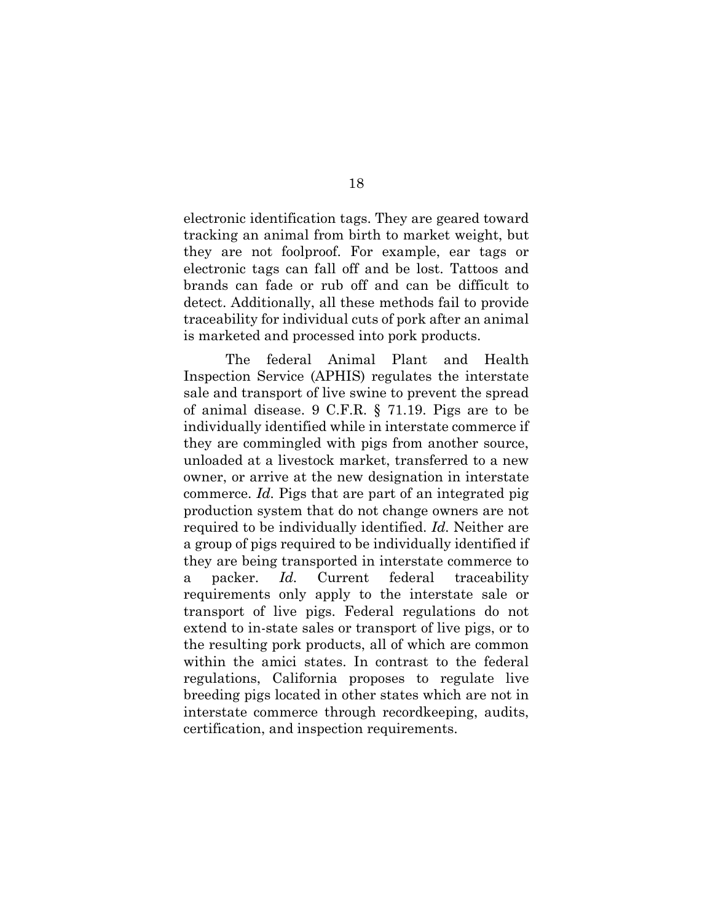electronic identification tags. They are geared toward tracking an animal from birth to market weight, but they are not foolproof. For example, ear tags or electronic tags can fall off and be lost. Tattoos and brands can fade or rub off and can be difficult to detect. Additionally, all these methods fail to provide traceability for individual cuts of pork after an animal is marketed and processed into pork products.

The federal Animal Plant and Health Inspection Service (APHIS) regulates the interstate sale and transport of live swine to prevent the spread of animal disease. 9 C.F.R. § 71.19. Pigs are to be individually identified while in interstate commerce if they are commingled with pigs from another source, unloaded at a livestock market, transferred to a new owner, or arrive at the new designation in interstate commerce. *Id.* Pigs that are part of an integrated pig production system that do not change owners are not required to be individually identified. *Id.* Neither are a group of pigs required to be individually identified if they are being transported in interstate commerce to a packer. *Id.* Current federal traceability requirements only apply to the interstate sale or transport of live pigs. Federal regulations do not extend to in-state sales or transport of live pigs, or to the resulting pork products, all of which are common within the amici states. In contrast to the federal regulations, California proposes to regulate live breeding pigs located in other states which are not in interstate commerce through recordkeeping, audits, certification, and inspection requirements.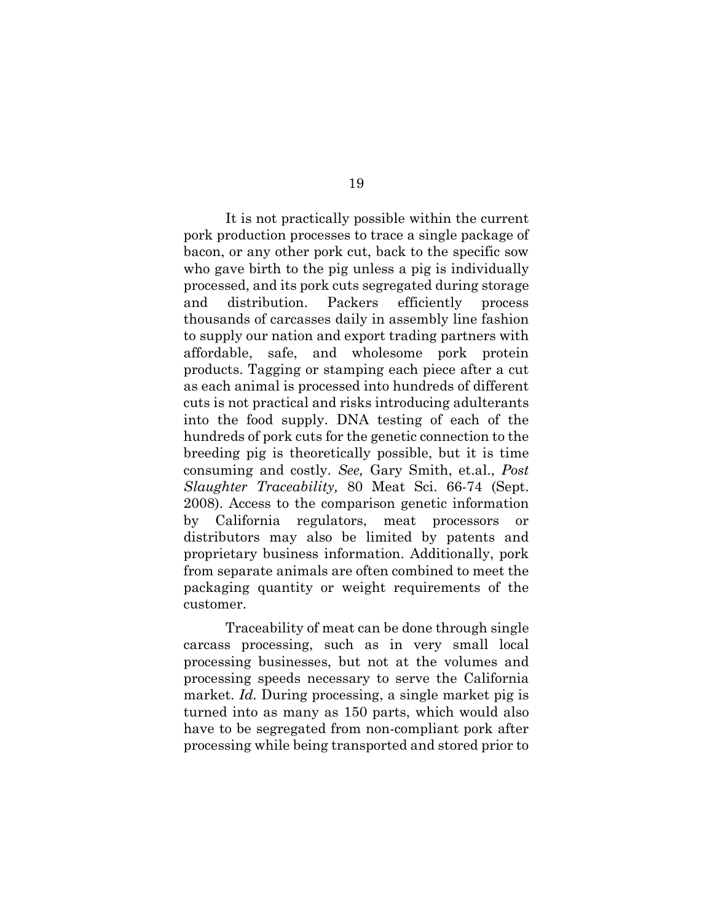It is not practically possible within the current pork production processes to trace a single package of bacon, or any other pork cut, back to the specific sow who gave birth to the pig unless a pig is individually processed, and its pork cuts segregated during storage and distribution. Packers efficiently process thousands of carcasses daily in assembly line fashion to supply our nation and export trading partners with affordable, safe, and wholesome pork protein products. Tagging or stamping each piece after a cut as each animal is processed into hundreds of different cuts is not practical and risks introducing adulterants into the food supply. DNA testing of each of the hundreds of pork cuts for the genetic connection to the breeding pig is theoretically possible, but it is time consuming and costly. *See,* Gary Smith, et.al., *Post Slaughter Traceability,* 80 Meat Sci. 66-74 (Sept. 2008). Access to the comparison genetic information by California regulators, meat processors or distributors may also be limited by patents and proprietary business information. Additionally, pork from separate animals are often combined to meet the packaging quantity or weight requirements of the customer.

Traceability of meat can be done through single carcass processing, such as in very small local processing businesses, but not at the volumes and processing speeds necessary to serve the California market. *Id.* During processing, a single market pig is turned into as many as 150 parts, which would also have to be segregated from non-compliant pork after processing while being transported and stored prior to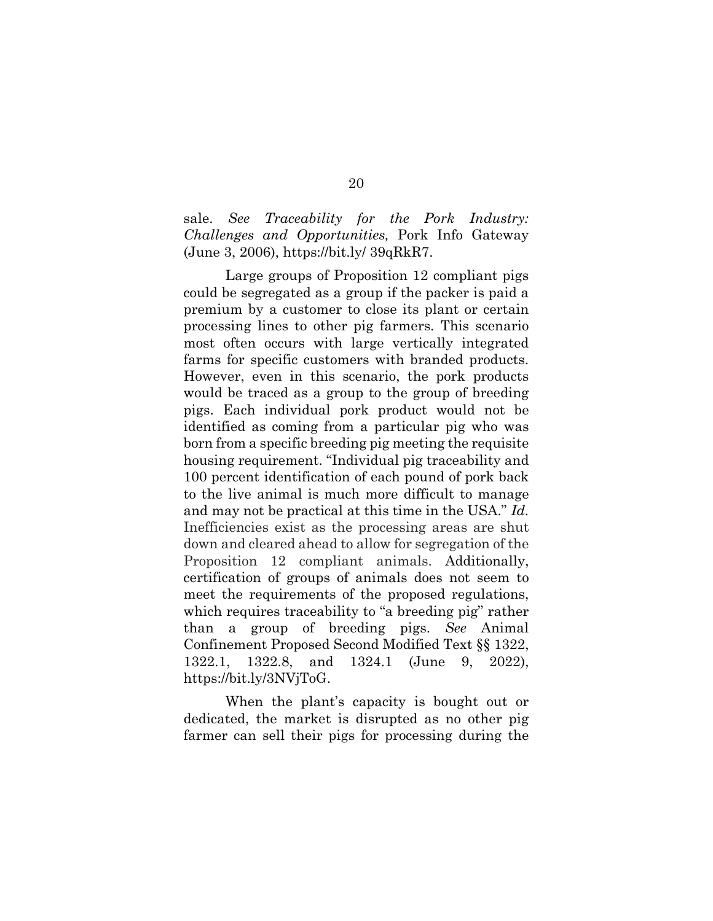sale. *See Traceability for the Pork Industry: Challenges and Opportunities,* Pork Info Gateway (June 3, 2006), https://bit.ly/ 39qRkR7.

Large groups of Proposition 12 compliant pigs could be segregated as a group if the packer is paid a premium by a customer to close its plant or certain processing lines to other pig farmers. This scenario most often occurs with large vertically integrated farms for specific customers with branded products. However, even in this scenario, the pork products would be traced as a group to the group of breeding pigs. Each individual pork product would not be identified as coming from a particular pig who was born from a specific breeding pig meeting the requisite housing requirement. "Individual pig traceability and 100 percent identification of each pound of pork back to the live animal is much more difficult to manage and may not be practical at this time in the USA." *Id.* Inefficiencies exist as the processing areas are shut down and cleared ahead to allow for segregation of the Proposition 12 compliant animals. Additionally, certification of groups of animals does not seem to meet the requirements of the proposed regulations, which requires traceability to "a breeding pig" rather than a group of breeding pigs. *See* Animal Confinement Proposed Second Modified Text §§ 1322, 1322.1, 1322.8, and 1324.1 (June 9, 2022), https://bit.ly/3NVjToG.

When the plant's capacity is bought out or dedicated, the market is disrupted as no other pig farmer can sell their pigs for processing during the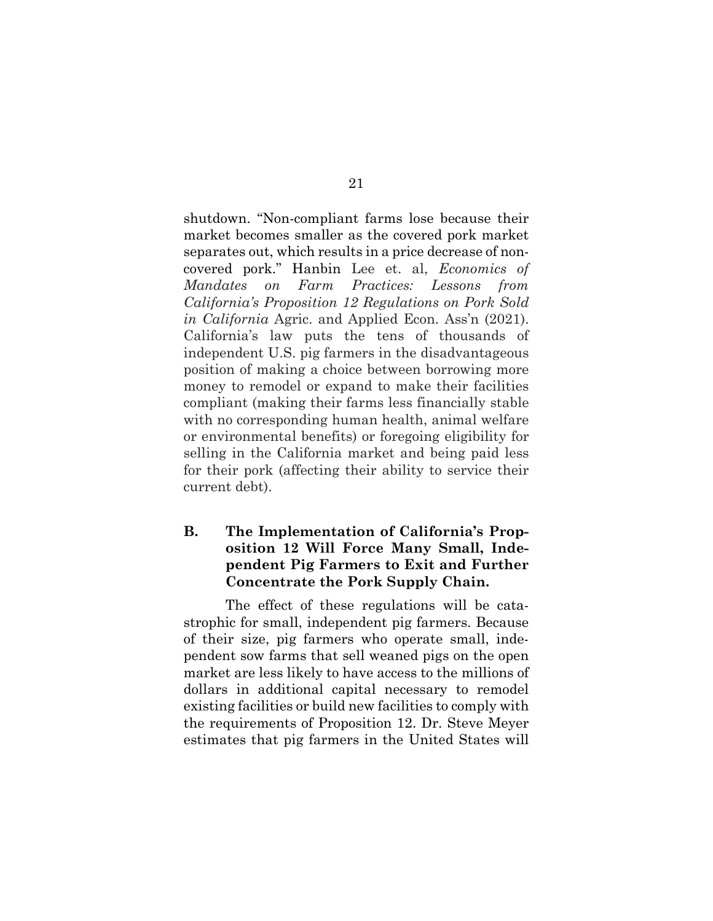shutdown. "Non-compliant farms lose because their market becomes smaller as the covered pork market separates out, which results in a price decrease of noncovered pork." Hanbin Lee et. al, *Economics of Mandates on Farm Practices: Lessons from California's Proposition 12 Regulations on Pork Sold in California* Agric. and Applied Econ. Ass'n (2021). California's law puts the tens of thousands of independent U.S. pig farmers in the disadvantageous position of making a choice between borrowing more money to remodel or expand to make their facilities compliant (making their farms less financially stable with no corresponding human health, animal welfare or environmental benefits) or foregoing eligibility for selling in the California market and being paid less for their pork (affecting their ability to service their current debt).

## **B. The Implementation of California's Proposition 12 Will Force Many Small, Independent Pig Farmers to Exit and Further Concentrate the Pork Supply Chain.**

The effect of these regulations will be catastrophic for small, independent pig farmers. Because of their size, pig farmers who operate small, independent sow farms that sell weaned pigs on the open market are less likely to have access to the millions of dollars in additional capital necessary to remodel existing facilities or build new facilities to comply with the requirements of Proposition 12. Dr. Steve Meyer estimates that pig farmers in the United States will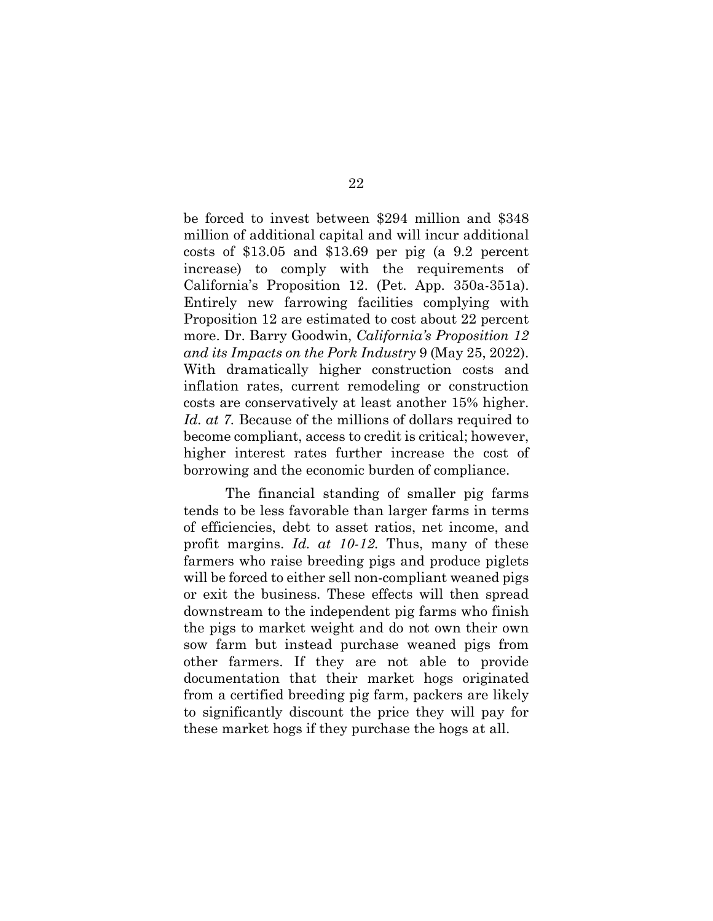be forced to invest between \$294 million and \$348 million of additional capital and will incur additional costs of \$13.05 and \$13.69 per pig (a 9.2 percent increase) to comply with the requirements of California's Proposition 12. (Pet. App. 350a-351a). Entirely new farrowing facilities complying with Proposition 12 are estimated to cost about 22 percent more. Dr. Barry Goodwin, *California's Proposition 12 and its Impacts on the Pork Industry* 9 (May 25, 2022). With dramatically higher construction costs and inflation rates, current remodeling or construction costs are conservatively at least another 15% higher. *Id. at 7.* Because of the millions of dollars required to become compliant, access to credit is critical; however, higher interest rates further increase the cost of borrowing and the economic burden of compliance.

The financial standing of smaller pig farms tends to be less favorable than larger farms in terms of efficiencies, debt to asset ratios, net income, and profit margins. *Id. at 10-12.* Thus, many of these farmers who raise breeding pigs and produce piglets will be forced to either sell non-compliant weaned pigs or exit the business. These effects will then spread downstream to the independent pig farms who finish the pigs to market weight and do not own their own sow farm but instead purchase weaned pigs from other farmers. If they are not able to provide documentation that their market hogs originated from a certified breeding pig farm, packers are likely to significantly discount the price they will pay for these market hogs if they purchase the hogs at all.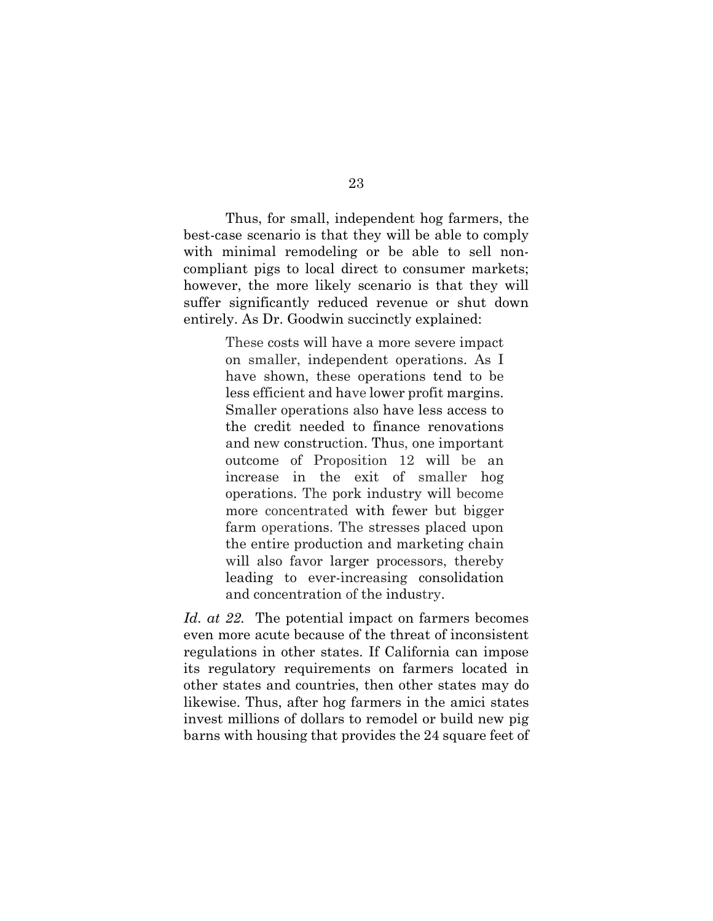Thus, for small, independent hog farmers, the best-case scenario is that they will be able to comply with minimal remodeling or be able to sell noncompliant pigs to local direct to consumer markets; however, the more likely scenario is that they will suffer significantly reduced revenue or shut down entirely. As Dr. Goodwin succinctly explained:

> These costs will have a more severe impact on smaller, independent operations. As I have shown, these operations tend to be less efficient and have lower profit margins. Smaller operations also have less access to the credit needed to finance renovations and new construction. Thus, one important outcome of Proposition 12 will be an increase in the exit of smaller hog operations. The pork industry will become more concentrated with fewer but bigger farm operations. The stresses placed upon the entire production and marketing chain will also favor larger processors, thereby leading to ever-increasing consolidation and concentration of the industry.

*Id. at 22.* The potential impact on farmers becomes even more acute because of the threat of inconsistent regulations in other states. If California can impose its regulatory requirements on farmers located in other states and countries, then other states may do likewise. Thus, after hog farmers in the amici states invest millions of dollars to remodel or build new pig barns with housing that provides the 24 square feet of

23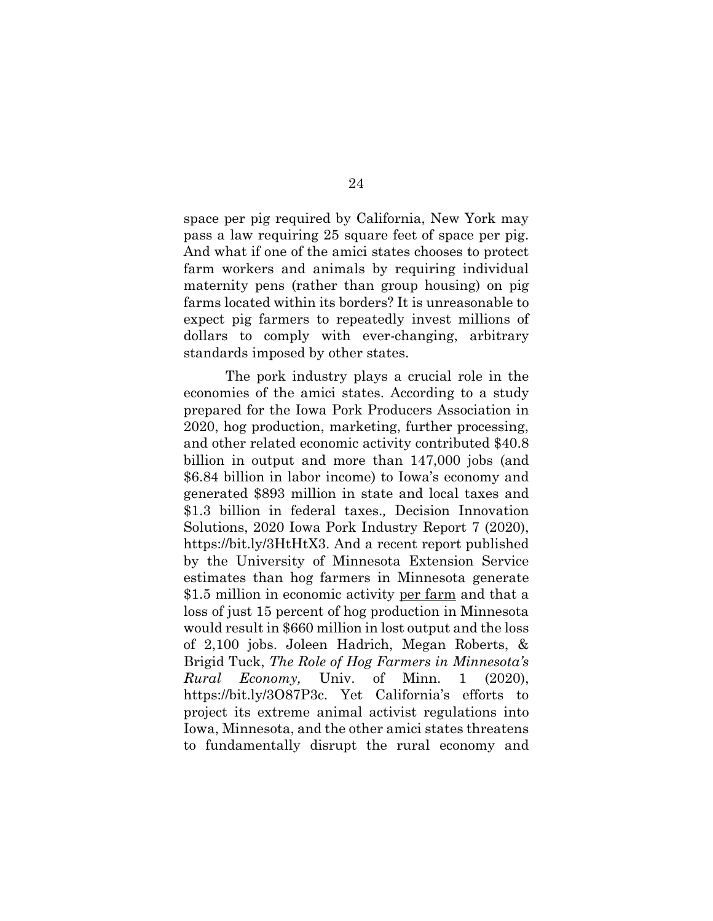space per pig required by California, New York may pass a law requiring 25 square feet of space per pig. And what if one of the amici states chooses to protect farm workers and animals by requiring individual maternity pens (rather than group housing) on pig farms located within its borders? It is unreasonable to expect pig farmers to repeatedly invest millions of dollars to comply with ever-changing, arbitrary standards imposed by other states.

The pork industry plays a crucial role in the economies of the amici states. According to a study prepared for the Iowa Pork Producers Association in 2020, hog production, marketing, further processing, and other related economic activity contributed \$40.8 billion in output and more than 147,000 jobs (and \$6.84 billion in labor income) to Iowa's economy and generated \$893 million in state and local taxes and \$1.3 billion in federal taxes.*,* Decision Innovation Solutions, 2020 Iowa Pork Industry Report 7 (2020), https://bit.ly/3HtHtX3. And a recent report published by the University of Minnesota Extension Service estimates than hog farmers in Minnesota generate \$1.5 million in economic activity per farm and that a loss of just 15 percent of hog production in Minnesota would result in \$660 million in lost output and the loss of 2,100 jobs. Joleen Hadrich, Megan Roberts, & Brigid Tuck, *The Role of Hog Farmers in Minnesota's Rural Economy,* Univ. of Minn. 1 (2020), https://bit.ly/3O87P3c. Yet California's efforts to project its extreme animal activist regulations into Iowa, Minnesota, and the other amici states threatens to fundamentally disrupt the rural economy and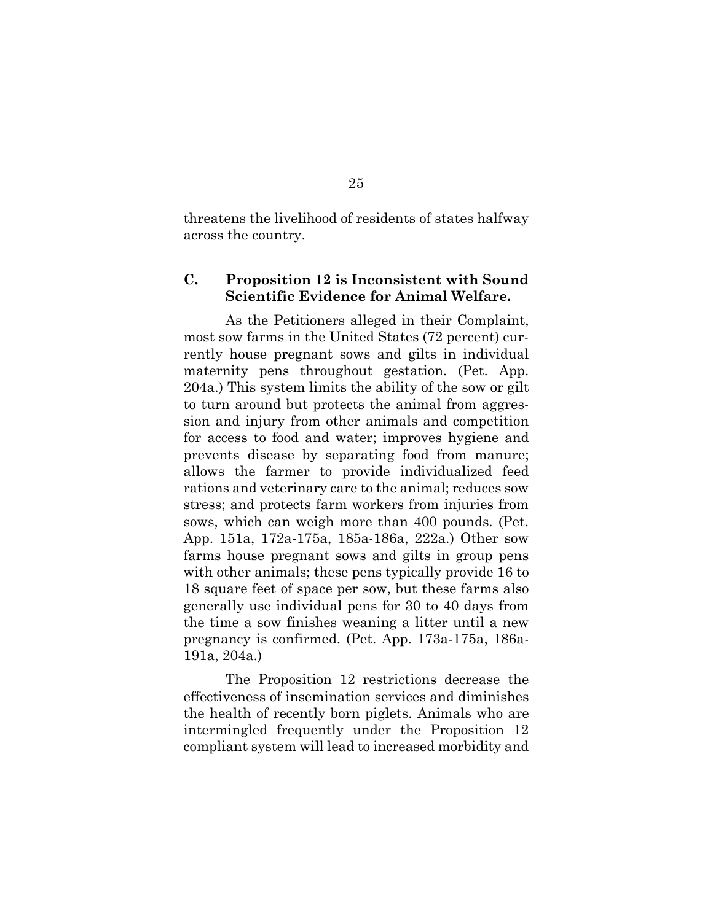threatens the livelihood of residents of states halfway across the country.

### **C. Proposition 12 is Inconsistent with Sound Scientific Evidence for Animal Welfare.**

As the Petitioners alleged in their Complaint, most sow farms in the United States (72 percent) currently house pregnant sows and gilts in individual maternity pens throughout gestation. (Pet. App. 204a.) This system limits the ability of the sow or gilt to turn around but protects the animal from aggression and injury from other animals and competition for access to food and water; improves hygiene and prevents disease by separating food from manure; allows the farmer to provide individualized feed rations and veterinary care to the animal; reduces sow stress; and protects farm workers from injuries from sows, which can weigh more than 400 pounds. (Pet. App. 151a, 172a-175a, 185a-186a, 222a.) Other sow farms house pregnant sows and gilts in group pens with other animals; these pens typically provide 16 to 18 square feet of space per sow, but these farms also generally use individual pens for 30 to 40 days from the time a sow finishes weaning a litter until a new pregnancy is confirmed. (Pet. App. 173a-175a, 186a-191a, 204a.)

The Proposition 12 restrictions decrease the effectiveness of insemination services and diminishes the health of recently born piglets. Animals who are intermingled frequently under the Proposition 12 compliant system will lead to increased morbidity and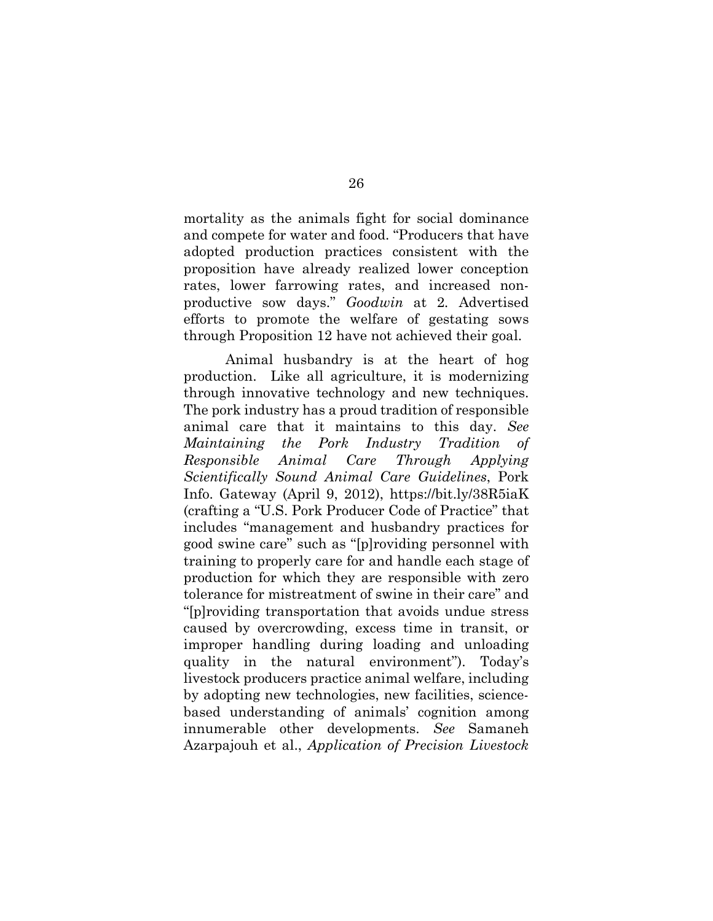mortality as the animals fight for social dominance and compete for water and food. "Producers that have adopted production practices consistent with the proposition have already realized lower conception rates, lower farrowing rates, and increased nonproductive sow days." *Goodwin* at 2*.* Advertised efforts to promote the welfare of gestating sows through Proposition 12 have not achieved their goal.

Animal husbandry is at the heart of hog production. Like all agriculture, it is modernizing through innovative technology and new techniques. The pork industry has a proud tradition of responsible animal care that it maintains to this day. *See Maintaining the Pork Industry Tradition of Responsible Animal Care Through Applying Scientifically Sound Animal Care Guidelines*, Pork Info. Gateway (April 9, 2012), https://bit.ly/38R5iaK (crafting a "U.S. Pork Producer Code of Practice" that includes "management and husbandry practices for good swine care" such as "[p]roviding personnel with training to properly care for and handle each stage of production for which they are responsible with zero tolerance for mistreatment of swine in their care" and "[p]roviding transportation that avoids undue stress caused by overcrowding, excess time in transit, or improper handling during loading and unloading quality in the natural environment"). Today's livestock producers practice animal welfare, including by adopting new technologies, new facilities, sciencebased understanding of animals' cognition among innumerable other developments. *See* Samaneh Azarpajouh et al., *Application of Precision Livestock*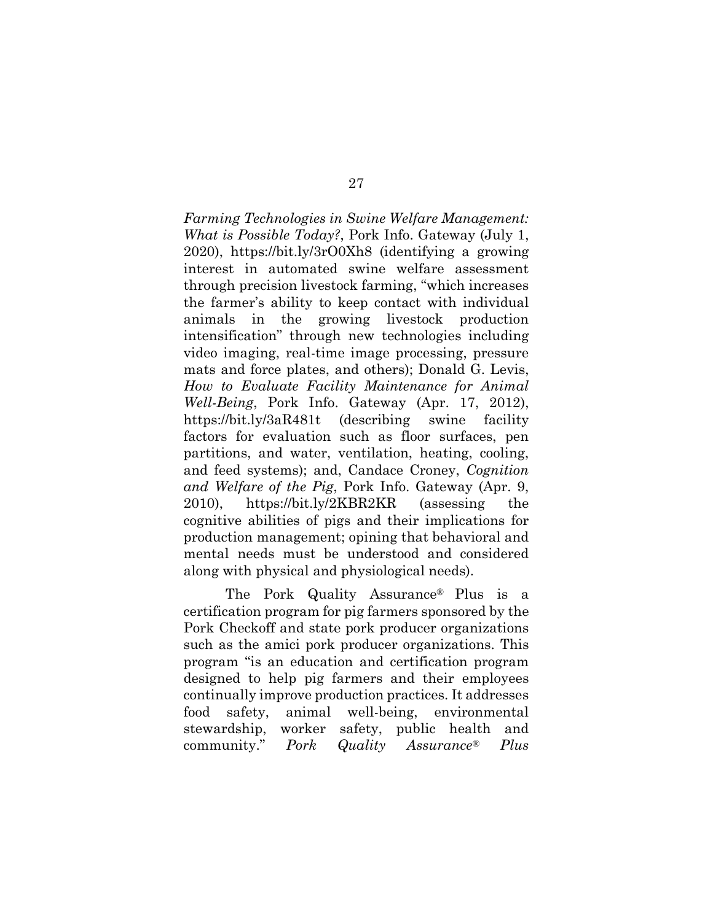*Farming Technologies in Swine Welfare Management: What is Possible Today?*, Pork Info. Gateway (July 1, 2020), https://bit.ly/3rO0Xh8 (identifying a growing interest in automated swine welfare assessment through precision livestock farming, "which increases the farmer's ability to keep contact with individual animals in the growing livestock production intensification" through new technologies including video imaging, real-time image processing, pressure mats and force plates, and others); Donald G. Levis, *How to Evaluate Facility Maintenance for Animal Well-Being*, Pork Info. Gateway (Apr. 17, 2012), https://bit.ly/3aR481t (describing swine facility factors for evaluation such as floor surfaces, pen partitions, and water, ventilation, heating, cooling, and feed systems); and, Candace Croney, *Cognition and Welfare of the Pig*, Pork Info. Gateway (Apr. 9, 2010), https://bit.ly/2KBR2KR (assessing the cognitive abilities of pigs and their implications for production management; opining that behavioral and mental needs must be understood and considered along with physical and physiological needs).

The Pork Quality Assurance® Plus is a certification program for pig farmers sponsored by the Pork Checkoff and state pork producer organizations such as the amici pork producer organizations. This program "is an education and certification program designed to help pig farmers and their employees continually improve production practices. It addresses food safety, animal well-being, environmental stewardship, worker safety, public health and community." *Pork Quality Assurance® Plus*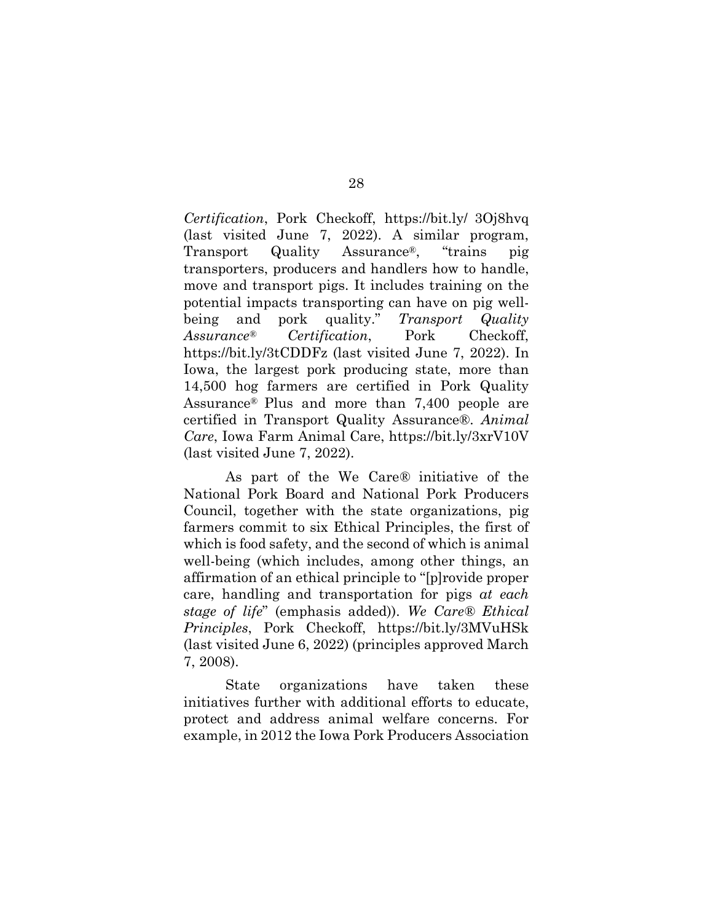*Certification*, Pork Checkoff, https://bit.ly/ 3Oj8hvq (last visited June 7, 2022). A similar program, Transport Quality Assurance®, "trains pig transporters, producers and handlers how to handle, move and transport pigs. It includes training on the potential impacts transporting can have on pig wellbeing and pork quality." *Transport Quality Assurance® Certification*, Pork Checkoff, https://bit.ly/3tCDDFz (last visited June 7, 2022). In Iowa, the largest pork producing state, more than 14,500 hog farmers are certified in Pork Quality Assurance® Plus and more than 7,400 people are certified in Transport Quality Assurance®. *Animal Care*, Iowa Farm Animal Care, https://bit.ly/3xrV10V (last visited June 7, 2022).

As part of the We Care*®* initiative of the National Pork Board and National Pork Producers Council, together with the state organizations, pig farmers commit to six Ethical Principles, the first of which is food safety, and the second of which is animal well-being (which includes, among other things, an affirmation of an ethical principle to "[p]rovide proper care, handling and transportation for pigs *at each stage of life*" (emphasis added)). *We Care® Ethical Principles*, Pork Checkoff, https://bit.ly/3MVuHSk (last visited June 6, 2022) (principles approved March 7, 2008).

State organizations have taken these initiatives further with additional efforts to educate, protect and address animal welfare concerns. For example, in 2012 the Iowa Pork Producers Association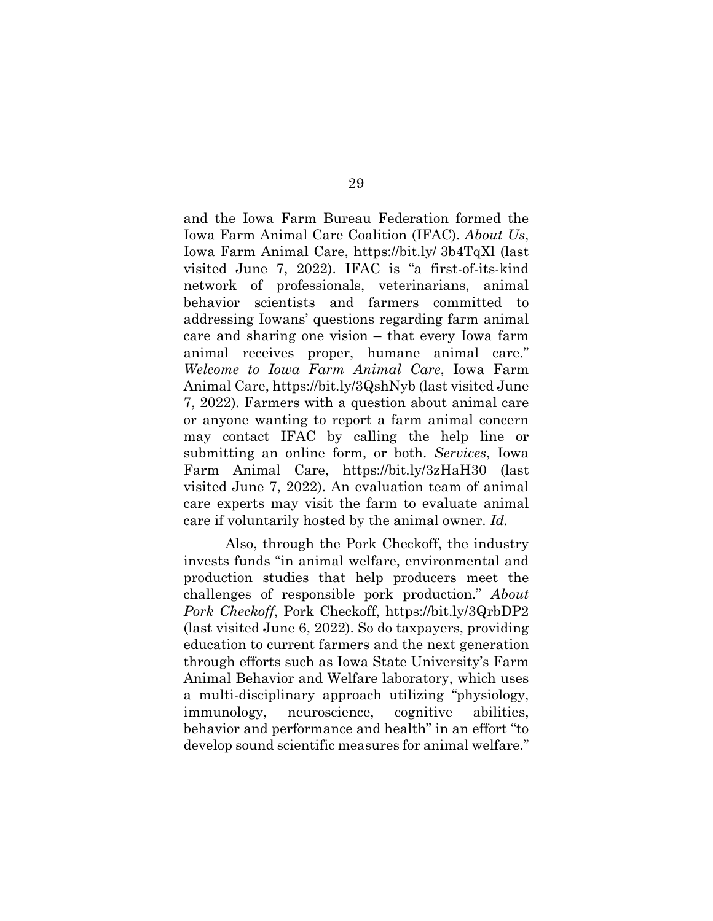and the Iowa Farm Bureau Federation formed the Iowa Farm Animal Care Coalition (IFAC). *About Us*, Iowa Farm Animal Care, https://bit.ly/ 3b4TqXl (last visited June 7, 2022). IFAC is "a first-of-its-kind network of professionals, veterinarians, animal behavior scientists and farmers committed to addressing Iowans' questions regarding farm animal care and sharing one vision – that every Iowa farm animal receives proper, humane animal care." *Welcome to Iowa Farm Animal Care*, Iowa Farm Animal Care, https://bit.ly/3QshNyb (last visited June 7, 2022). Farmers with a question about animal care or anyone wanting to report a farm animal concern may contact IFAC by calling the help line or submitting an online form, or both. *Services*, Iowa Farm Animal Care, https://bit.ly/3zHaH30 (last visited June 7, 2022). An evaluation team of animal care experts may visit the farm to evaluate animal care if voluntarily hosted by the animal owner. *Id.* 

Also, through the Pork Checkoff, the industry invests funds "in animal welfare, environmental and production studies that help producers meet the challenges of responsible pork production." *About Pork Checkoff*, Pork Checkoff, https://bit.ly/3QrbDP2 (last visited June 6, 2022). So do taxpayers, providing education to current farmers and the next generation through efforts such as Iowa State University's Farm Animal Behavior and Welfare laboratory, which uses a multi-disciplinary approach utilizing "physiology, immunology, neuroscience, cognitive abilities, behavior and performance and health" in an effort "to develop sound scientific measures for animal welfare."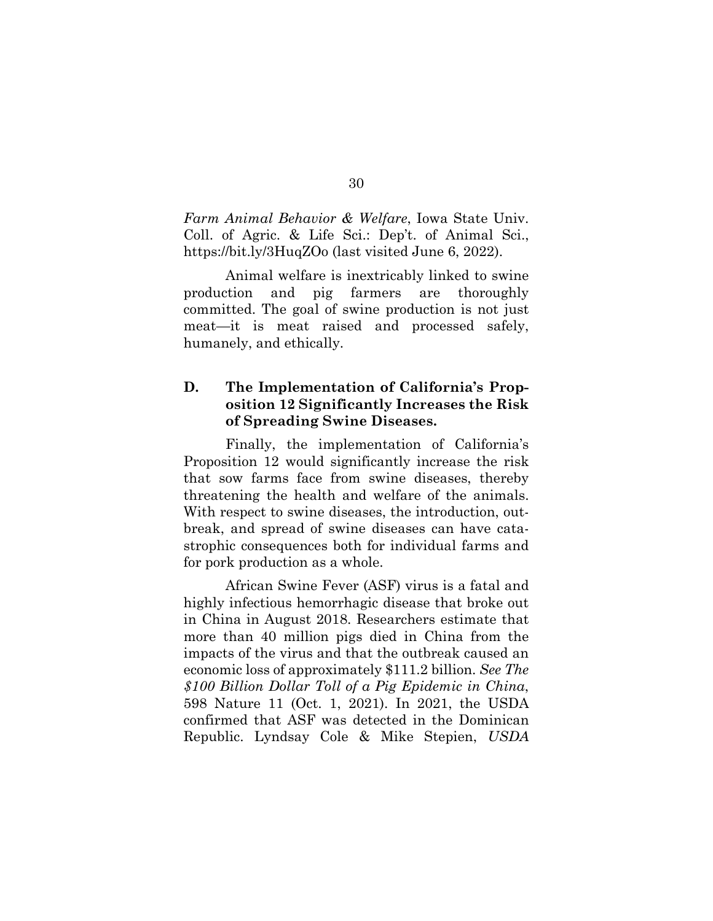*Farm Animal Behavior & Welfare*, Iowa State Univ. Coll. of Agric. & Life Sci.: Dep't. of Animal Sci., https://bit.ly/3HuqZOo (last visited June 6, 2022).

Animal welfare is inextricably linked to swine production and pig farmers are thoroughly committed. The goal of swine production is not just meat—it is meat raised and processed safely, humanely, and ethically.

## **D. The Implementation of California's Proposition 12 Significantly Increases the Risk of Spreading Swine Diseases.**

Finally, the implementation of California's Proposition 12 would significantly increase the risk that sow farms face from swine diseases, thereby threatening the health and welfare of the animals. With respect to swine diseases, the introduction, outbreak, and spread of swine diseases can have catastrophic consequences both for individual farms and for pork production as a whole.

African Swine Fever (ASF) virus is a fatal and highly infectious hemorrhagic disease that broke out in China in August 2018. Researchers estimate that more than 40 million pigs died in China from the impacts of the virus and that the outbreak caused an economic loss of approximately \$111.2 billion. *See The \$100 Billion Dollar Toll of a Pig Epidemic in China*, 598 Nature 11 (Oct. 1, 2021). In 2021, the USDA confirmed that ASF was detected in the Dominican Republic. Lyndsay Cole & Mike Stepien, *USDA*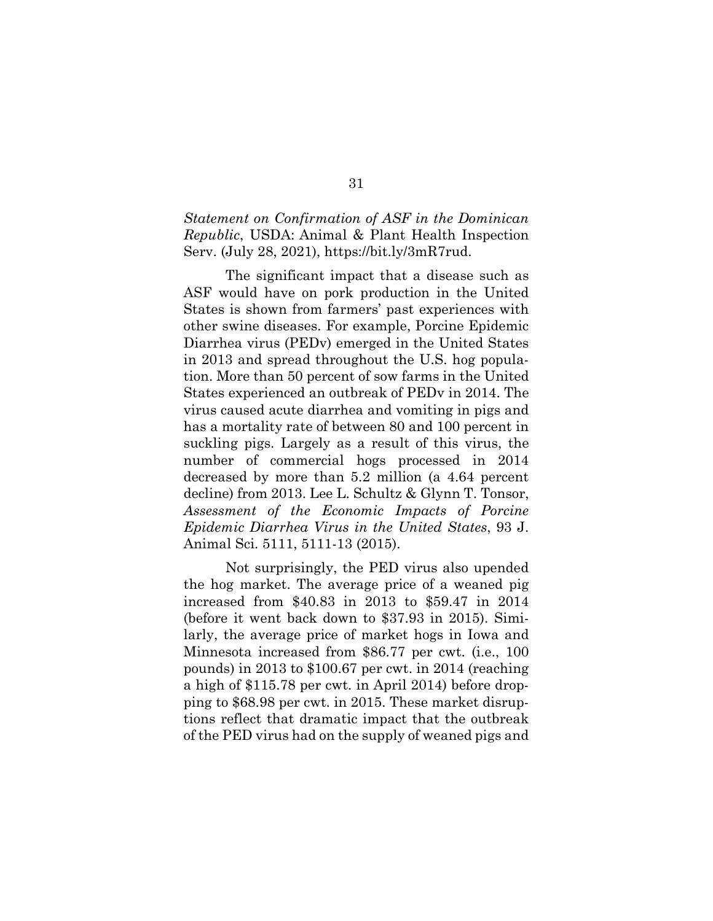### *Statement on Confirmation of ASF in the Dominican Republic*, USDA: Animal & Plant Health Inspection Serv. (July 28, 2021), https://bit.ly/3mR7rud.

The significant impact that a disease such as ASF would have on pork production in the United States is shown from farmers' past experiences with other swine diseases. For example, Porcine Epidemic Diarrhea virus (PEDv) emerged in the United States in 2013 and spread throughout the U.S. hog population. More than 50 percent of sow farms in the United States experienced an outbreak of PEDv in 2014. The virus caused acute diarrhea and vomiting in pigs and has a mortality rate of between 80 and 100 percent in suckling pigs. Largely as a result of this virus, the number of commercial hogs processed in 2014 decreased by more than 5.2 million (a 4.64 percent decline) from 2013. Lee L. Schultz & Glynn T. Tonsor, *Assessment of the Economic Impacts of Porcine Epidemic Diarrhea Virus in the United States*, 93 J. Animal Sci. 5111, 5111-13 (2015).

Not surprisingly, the PED virus also upended the hog market. The average price of a weaned pig increased from \$40.83 in 2013 to \$59.47 in 2014 (before it went back down to \$37.93 in 2015). Similarly, the average price of market hogs in Iowa and Minnesota increased from \$86.77 per cwt. (i.e., 100 pounds) in 2013 to \$100.67 per cwt. in 2014 (reaching a high of \$115.78 per cwt. in April 2014) before dropping to \$68.98 per cwt. in 2015. These market disruptions reflect that dramatic impact that the outbreak of the PED virus had on the supply of weaned pigs and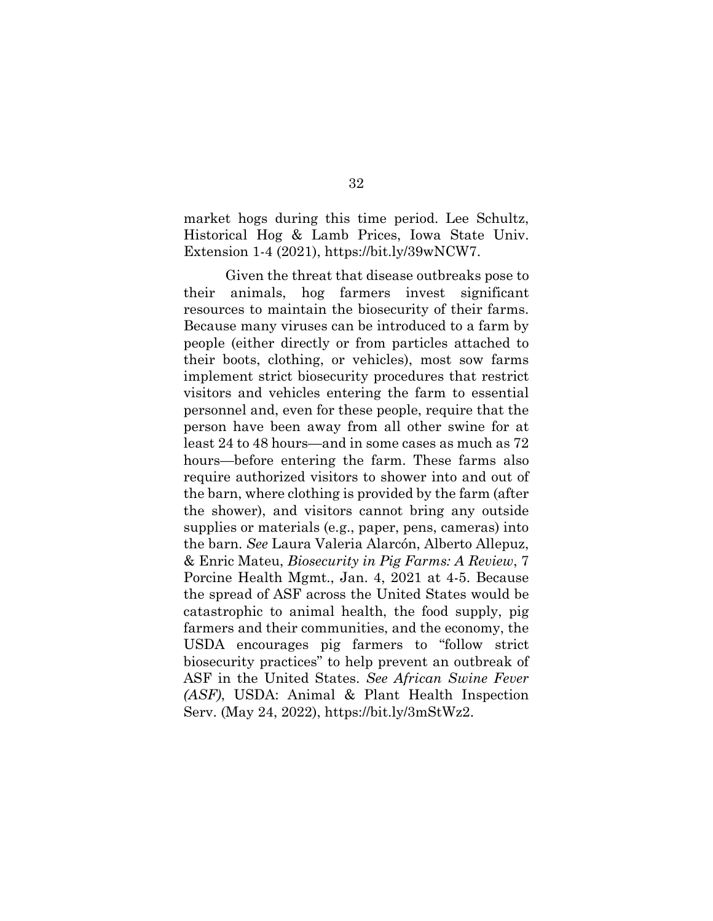market hogs during this time period. Lee Schultz, Historical Hog & Lamb Prices, Iowa State Univ. Extension 1-4 (2021), https://bit.ly/39wNCW7.

Given the threat that disease outbreaks pose to their animals, hog farmers invest significant resources to maintain the biosecurity of their farms. Because many viruses can be introduced to a farm by people (either directly or from particles attached to their boots, clothing, or vehicles), most sow farms implement strict biosecurity procedures that restrict visitors and vehicles entering the farm to essential personnel and, even for these people, require that the person have been away from all other swine for at least 24 to 48 hours—and in some cases as much as 72 hours—before entering the farm. These farms also require authorized visitors to shower into and out of the barn, where clothing is provided by the farm (after the shower), and visitors cannot bring any outside supplies or materials (e.g., paper, pens, cameras) into the barn. *See* Laura Valeria Alarcón, Alberto Allepuz, & Enric Mateu, *Biosecurity in Pig Farms: A Review*, 7 Porcine Health Mgmt., Jan. 4, 2021 at 4-5. Because the spread of ASF across the United States would be catastrophic to animal health, the food supply, pig farmers and their communities, and the economy, the USDA encourages pig farmers to "follow strict biosecurity practices" to help prevent an outbreak of ASF in the United States. *See African Swine Fever (ASF)*, USDA: Animal & Plant Health Inspection Serv. (May 24, 2022), https://bit.ly/3mStWz2.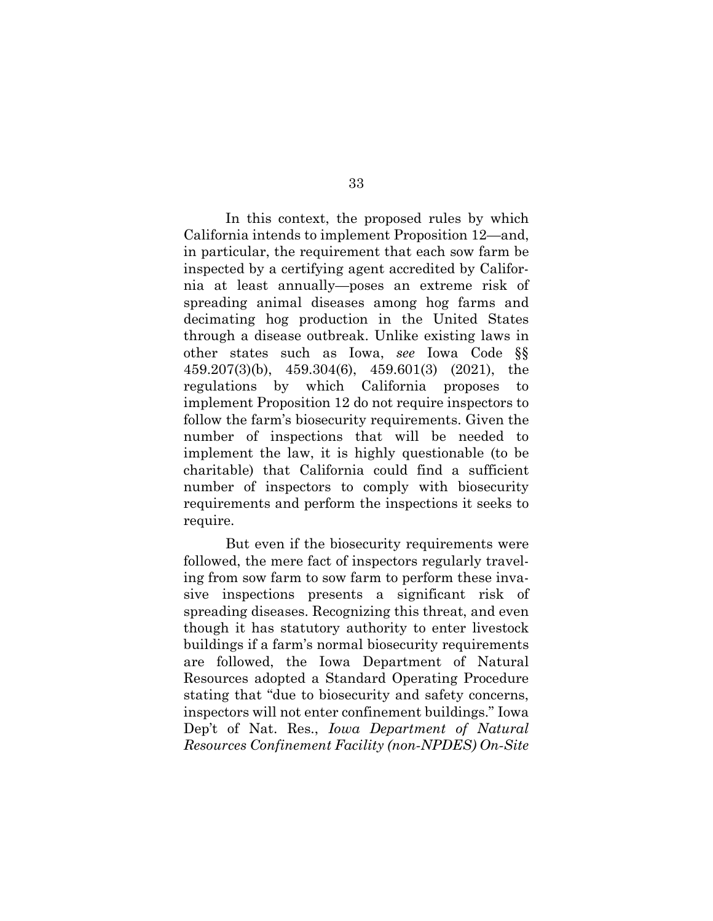In this context, the proposed rules by which California intends to implement Proposition 12—and, in particular, the requirement that each sow farm be inspected by a certifying agent accredited by California at least annually—poses an extreme risk of spreading animal diseases among hog farms and decimating hog production in the United States through a disease outbreak. Unlike existing laws in other states such as Iowa, *see* Iowa Code §§ 459.207(3)(b), 459.304(6), 459.601(3) (2021), the regulations by which California proposes to implement Proposition 12 do not require inspectors to follow the farm's biosecurity requirements. Given the number of inspections that will be needed to implement the law, it is highly questionable (to be charitable) that California could find a sufficient number of inspectors to comply with biosecurity requirements and perform the inspections it seeks to require.

But even if the biosecurity requirements were followed, the mere fact of inspectors regularly traveling from sow farm to sow farm to perform these invasive inspections presents a significant risk of spreading diseases. Recognizing this threat, and even though it has statutory authority to enter livestock buildings if a farm's normal biosecurity requirements are followed, the Iowa Department of Natural Resources adopted a Standard Operating Procedure stating that "due to biosecurity and safety concerns, inspectors will not enter confinement buildings." Iowa Dep't of Nat. Res., *Iowa Department of Natural Resources Confinement Facility (non‐NPDES) On‐Site*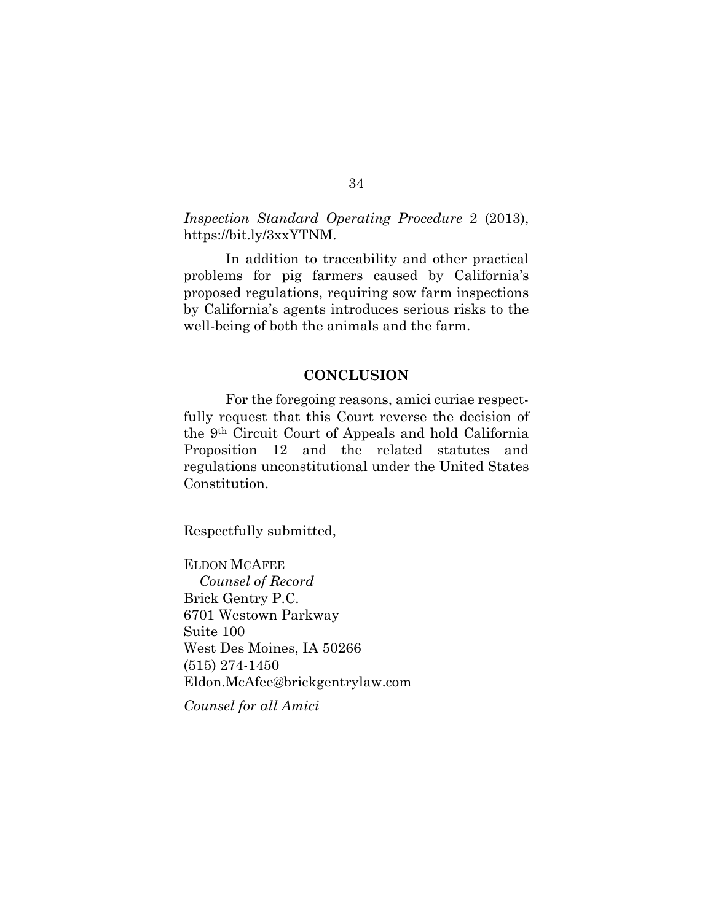*Inspection Standard Operating Procedure* 2 (2013), https://bit.ly/3xxYTNM.

In addition to traceability and other practical problems for pig farmers caused by California's proposed regulations, requiring sow farm inspections by California's agents introduces serious risks to the well-being of both the animals and the farm.

### **CONCLUSION**

For the foregoing reasons, amici curiae respectfully request that this Court reverse the decision of the 9th Circuit Court of Appeals and hold California Proposition 12 and the related statutes and regulations unconstitutional under the United States Constitution.

Respectfully submitted,

ELDON MCAFEE  *Counsel of Record* Brick Gentry P.C. 6701 Westown Parkway Suite 100 West Des Moines, IA 50266 (515) 274-1450 Eldon.McAfee@brickgentrylaw.com

*Counsel for all Amici*